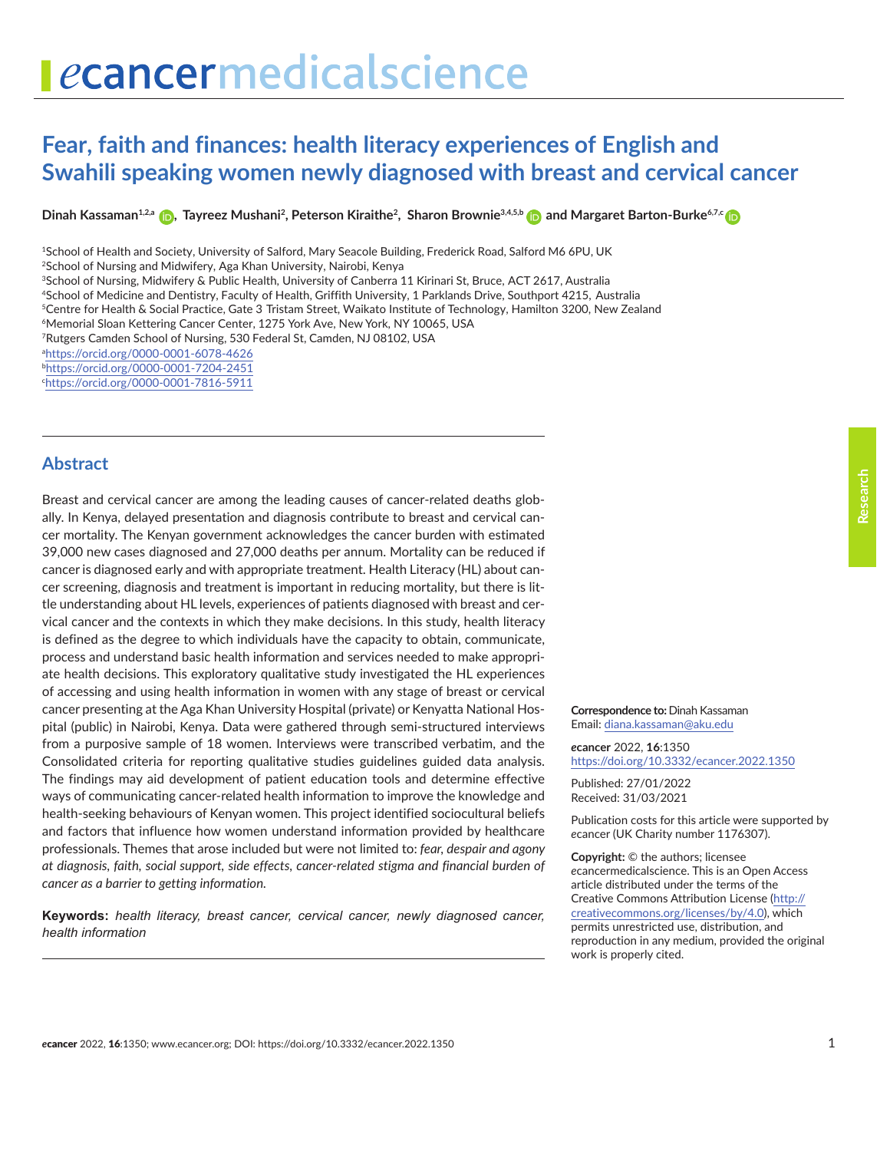# <span id="page-0-0"></span>ecancermedicalscience

## **Fear, faith and finances: health literacy experiences of English and Swahili speaking women newly diagnosed with breast and cervical cancer**

 $\bm{\Theta}$  Dinah Kassaman $^{1,2, a}$  $^{1,2, a}$  $^{1,2, a}$   $\bm{\Theta}$ , Tayreez Mushani<sup>2</sup>, Peterson Kiraithe<sup>2</sup>, Sharon Brownie $^{3,4,5,6}$   $\bm{\Theta}$  and Margaret Barton-Burke<sup>6,7,</sup>[c](https://orcid.org/0000-0001-7816-5911)

<sup>1</sup>School of Health and Society, University of Salford, Mary Seacole Building, Frederick Road, Salford M6 6PU, UK <sup>2</sup>School of Nursing and Midwifery, Aga Khan University, Nairobi, Kenya <sup>3</sup>School of Nursing, Midwifery & Public Health, University of Canberra 11 Kirinari St, Bruce, ACT 2617, Australia <sup>4</sup>School of Medicine and Dentistry, Faculty of Health, Griffith University, 1 Parklands Drive, Southport 4215, Australia <sup>5</sup>Centre for Health & Social Practice, Gate 3 Tristam Street, Waikato Institute of Technology, Hamilton 3200, New Zealand <sup>6</sup>Memorial Sloan Kettering Cancer Center, 1275 York Ave, New York, NY 10065, USA <sup>7</sup>Rutgers Camden School of Nursing, 530 Federal St, Camden, NJ 08102, USA a <https://orcid.org/0000-0001-6078-4626> b <https://orcid.org/0000-0001-7204-2451> c <https://orcid.org/0000-0001-7816-5911>

### **Abstract**

Breast and cervical cancer are among the leading causes of cancer-related deaths globally. In Kenya, delayed presentation and diagnosis contribute to breast and cervical cancer mortality. The Kenyan government acknowledges the cancer burden with estimated 39,000 new cases diagnosed and 27,000 deaths per annum. Mortality can be reduced if cancer is diagnosed early and with appropriate treatment. Health Literacy (HL) about cancer screening, diagnosis and treatment is important in reducing mortality, but there is little understanding about HL levels, experiences of patients diagnosed with breast and cervical cancer and the contexts in which they make decisions. In this study, health literacy is defined as the degree to which individuals have the capacity to obtain, communicate, process and understand basic health information and services needed to make appropriate health decisions. This exploratory qualitative study investigated the HL experiences of accessing and using health information in women with any stage of breast or cervical cancer presenting at the Aga Khan University Hospital (private) or Kenyatta National Hospital (public) in Nairobi, Kenya. Data were gathered through semi-structured interviews from a purposive sample of 18 women. Interviews were transcribed verbatim, and the Consolidated criteria for reporting qualitative studies guidelines guided data analysis. The findings may aid development of patient education tools and determine effective ways of communicating cancer-related health information to improve the knowledge and health-seeking behaviours of Kenyan women. This project identified sociocultural beliefs and factors that influence how women understand information provided by healthcare professionals. Themes that arose included but were not limited to: *fear, despair and agony at diagnosis, faith, social support, side effects, cancer-related stigma and financial burden of cancer as a barrier to getting information.*

**Keywords:** *health literacy, breast cancer, cervical cancer, newly diagnosed cancer, health information*

#### **Correspondence to:** Dinah Kassaman Email: diana.kassaman@aku.edu

*e***cancer** 2022, **16**:1350 <https://doi.org/10.3332/ecancer.2022.1350>

Published: 27/01/2022 Received: 31/03/2021

Publication costs for this article were supported by *e*cancer (UK Charity number 1176307).

**Copyright:** © the authors; licensee *e*cancermedicalscience. This is an Open Access article distributed under the terms of the Creative Commons Attribution License (http:// creativecommons.org/licenses/by/4.0), which permits unrestricted use, distribution, and reproduction in any medium, provided the original work is properly cited.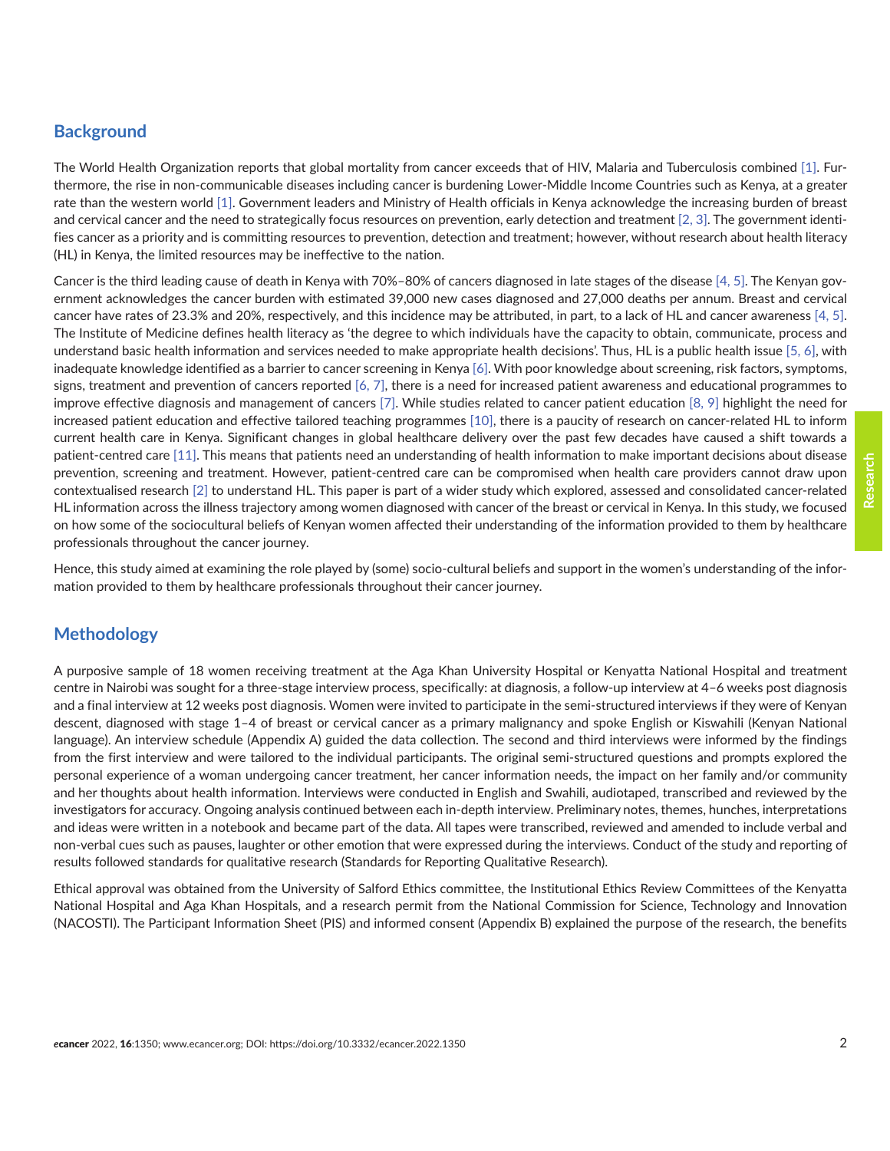### **Background**

The World Health Organization reports that global mortality from cancer exceeds that of HIV, Malaria and Tuberculosis combined [\[1\]](#page-11-0). Furthermore, the rise in non-communicable diseases including cancer is burdening Lower-Middle Income Countries such as Kenya, at a greater rate than the western world [\[1\].](#page-11-0) Government leaders and Ministry of Health officials in Kenya acknowledge the increasing burden of breast and cervical cancer and the need to strategically focus resources on prevention, early detection and treatment [\[2, 3\].](#page-12-0) The government identifies cancer as a priority and is committing resources to prevention, detection and treatment; however, without research about health literacy (HL) in Kenya, the limited resources may be ineffective to the nation.

Cancer is the third leading cause of death in Kenya with 70%–80% of cancers diagnosed in late stages of the disease [\[4, 5\].](#page-12-0) The Kenyan government acknowledges the cancer burden with estimated 39,000 new cases diagnosed and 27,000 deaths per annum. Breast and cervical cancer have rates of 23.3% and 20%, respectively, and this incidence may be attributed, in part, to a lack of HL and cancer awareness [\[4, 5\].](#page-12-0) The Institute of Medicine defines health literacy as 'the degree to which individuals have the capacity to obtain, communicate, process and understand basic health information and services needed to make appropriate health decisions'. Thus, HL is a public health issue [\[5, 6\]](#page-12-0), with inadequate knowledge identified as a barrier to cancer screening in Kenya [\[6\].](#page-12-0) With poor knowledge about screening, risk factors, symptoms, signs, treatment and prevention of cancers reported [\[6,](#page-12-0) [7\],](#page-12-0) there is a need for increased patient awareness and educational programmes to improve effective diagnosis and management of cancers [\[7\]](#page-12-0). While studies related to cancer patient education [\[8,](#page-12-0) [9\]](#page-12-0) highlight the need for increased patient education and effective tailored teaching programmes [\[10\]](#page-12-0), there is a paucity of research on cancer-related HL to inform current health care in Kenya. Significant changes in global healthcare delivery over the past few decades have caused a shift towards a patient-centred care [\[11\]](#page-12-0). This means that patients need an understanding of health information to make important decisions about disease prevention, screening and treatment. However, patient-centred care can be compromised when health care providers cannot draw upon contextualised research [\[2\]](#page-12-0) to understand HL. This paper is part of a wider study which explored, assessed and consolidated cancer-related HL information across the illness trajectory among women diagnosed with cancer of the breast or cervical in Kenya. In this study, we focused on how some of the sociocultural beliefs of Kenyan women affected their understanding of the information provided to them by healthcare professionals throughout the cancer journey.

Hence, this study aimed at examining the role played by (some) socio-cultural beliefs and support in the women's understanding of the information provided to them by healthcare professionals throughout their cancer journey.

### **Methodology**

A purposive sample of 18 women receiving treatment at the Aga Khan University Hospital or Kenyatta National Hospital and treatment centre in Nairobi was sought for a three-stage interview process, specifically: at diagnosis, a follow-up interview at 4–6 weeks post diagnosis and a final interview at 12 weeks post diagnosis. Women were invited to participate in the semi-structured interviews if they were of Kenyan descent, diagnosed with stage 1–4 of breast or cervical cancer as a primary malignancy and spoke English or Kiswahili (Kenyan National language). An interview schedule (Appendix A) guided the data collection. The second and third interviews were informed by the findings from the first interview and were tailored to the individual participants. The original semi-structured questions and prompts explored the personal experience of a woman undergoing cancer treatment, her cancer information needs, the impact on her family and/or community and her thoughts about health information. Interviews were conducted in English and Swahili, audiotaped, transcribed and reviewed by the investigators for accuracy. Ongoing analysis continued between each in-depth interview. Preliminary notes, themes, hunches, interpretations and ideas were written in a notebook and became part of the data. All tapes were transcribed, reviewed and amended to include verbal and non-verbal cues such as pauses, laughter or other emotion that were expressed during the interviews. Conduct of the study and reporting of results followed standards for qualitative research (Standards for Reporting Qualitative Research).

Ethical approval was obtained from the University of Salford Ethics committee, the Institutional Ethics Review Committees of the Kenyatta National Hospital and Aga Khan Hospitals, and a research permit from the National Commission for Science, Technology and Innovation (NACOSTI). The Participant Information Sheet (PIS) and informed consent (Appendix B) explained the purpose of the research, the benefits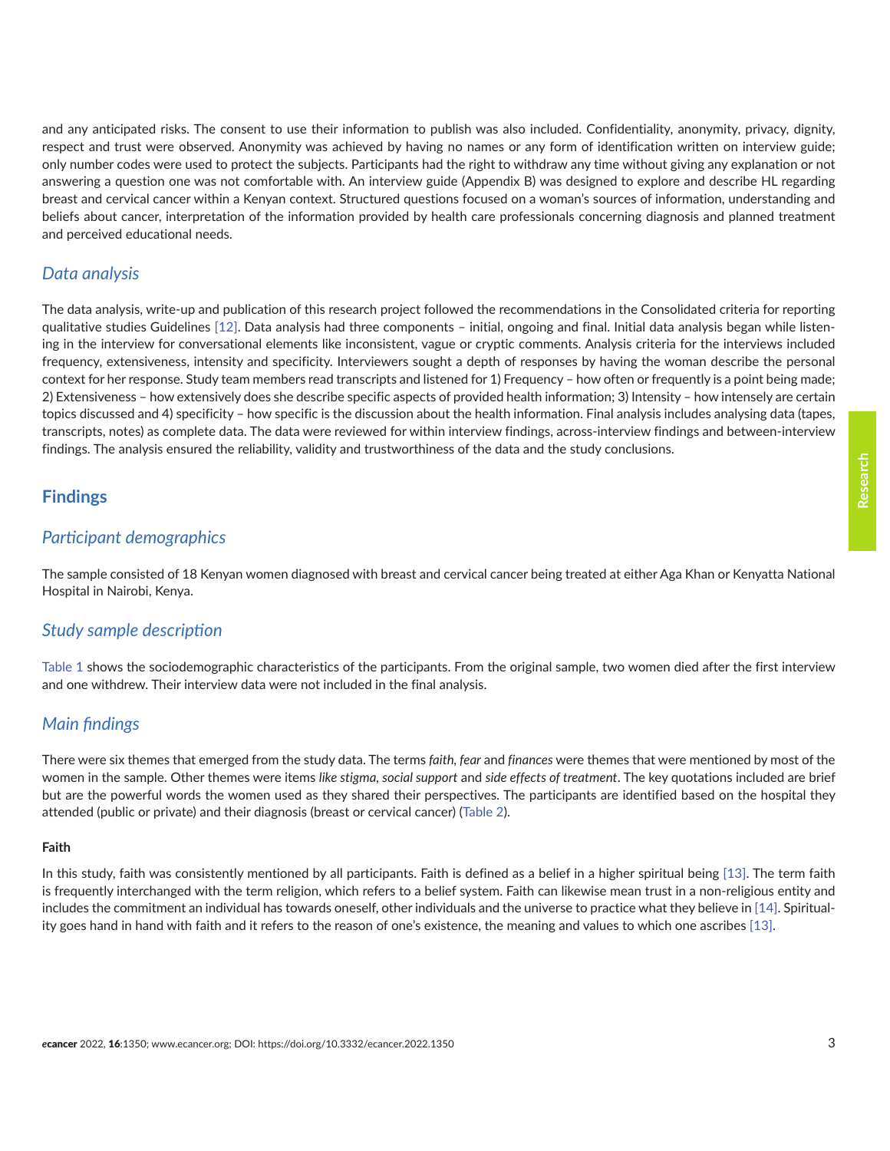and any anticipated risks. The consent to use their information to publish was also included. Confidentiality, anonymity, privacy, dignity, respect and trust were observed. Anonymity was achieved by having no names or any form of identification written on interview guide; only number codes were used to protect the subjects. Participants had the right to withdraw any time without giving any explanation or not answering a question one was not comfortable with. An interview guide (Appendix B) was designed to explore and describe HL regarding breast and cervical cancer within a Kenyan context. Structured questions focused on a woman's sources of information, understanding and beliefs about cancer, interpretation of the information provided by health care professionals concerning diagnosis and planned treatment and perceived educational needs.

### *Data analysis*

The data analysis, write-up and publication of this research project followed the recommendations in the Consolidated criteria for reporting qualitative studies Guidelines [\[12\].](#page-12-0) Data analysis had three components – initial, ongoing and final. Initial data analysis began while listening in the interview for conversational elements like inconsistent, vague or cryptic comments. Analysis criteria for the interviews included frequency, extensiveness, intensity and specificity. Interviewers sought a depth of responses by having the woman describe the personal context for her response. Study team members read transcripts and listened for 1) Frequency – how often or frequently is a point being made; 2) Extensiveness – how extensively does she describe specific aspects of provided health information; 3) Intensity – how intensely are certain topics discussed and 4) specificity – how specific is the discussion about the health information. Final analysis includes analysing data (tapes, transcripts, notes) as complete data. The data were reviewed for within interview findings, across-interview findings and between-interview findings. The analysis ensured the reliability, validity and trustworthiness of the data and the study conclusions.

### **Findings**

### *Participant demographics*

The sample consisted of 18 Kenyan women diagnosed with breast and cervical cancer being treated at either Aga Khan or Kenyatta National Hospital in Nairobi, Kenya.

### *Study sample description*

[Table 1](#page-3-0) shows the sociodemographic characteristics of the participants. From the original sample, two women died after the first interview and one withdrew. Their interview data were not included in the final analysis.

### *Main findings*

There were six themes that emerged from the study data. The terms *faith, fear* and *finances* were themes that were mentioned by most of the women in the sample. Other themes were items *like stigma, social support* and *side effects of treatment*. The key quotations included are brief but are the powerful words the women used as they shared their perspectives. The participants are identified based on the hospital they attended (public or private) and their diagnosis (breast or cervical cancer) [\(Table 2\)](#page-3-0).

### **Faith**

In this study, faith was consistently mentioned by all participants. Faith is defined as a belief in a higher spiritual being [\[13\].](#page-12-0) The term faith is frequently interchanged with the term religion, which refers to a belief system. Faith can likewise mean trust in a non-religious entity and includes the commitment an individual has towards oneself, other individuals and the universe to practice what they believe in [\[14\]](#page-12-0). Spirituality goes hand in hand with faith and it refers to the reason of one's existence, the meaning and values to which one ascribes [\[13\].](#page-0-0)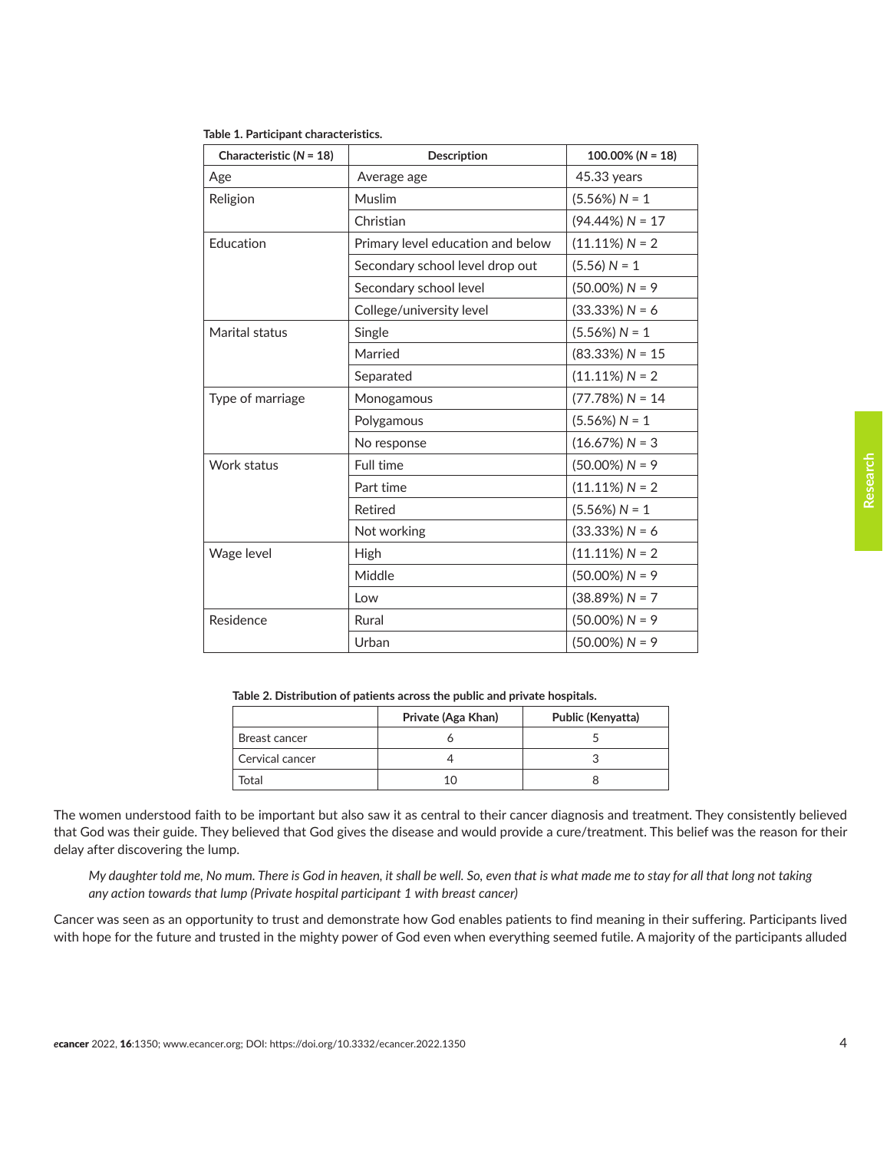| Characteristic $(N = 18)$ | Description                       | $100.00\%$ (N = 18) |
|---------------------------|-----------------------------------|---------------------|
| Age                       | Average age                       | 45.33 years         |
| Religion                  | Muslim                            | $(5.56\%) N = 1$    |
|                           | Christian                         | $(94.44\%) N = 17$  |
| Education                 | Primary level education and below | $(11.11\%) N = 2$   |
|                           | Secondary school level drop out   | $(5.56) N = 1$      |
|                           | Secondary school level            | $(50.00\%) N = 9$   |
|                           | College/university level          | $(33.33%) N = 6$    |
| Marital status            | Single                            | $(5.56\%) N = 1$    |
|                           | Married                           | $(83.33%) N = 15$   |
|                           | Separated                         | $(11.11\%) N = 2$   |
| Type of marriage          | Monogamous                        | $(77.78%) N = 14$   |
|                           | Polygamous                        | $(5.56\%) N = 1$    |
|                           | No response                       | $(16.67%) N = 3$    |
| Work status               | Full time                         | $(50.00\%) N = 9$   |
|                           | Part time                         | $(11.11\%) N = 2$   |
|                           | Retired                           | $(5.56\%) N = 1$    |
|                           | Not working                       | $(33.33%) N = 6$    |
| Wage level                | High                              | $(11.11\%) N = 2$   |
|                           | Middle                            | $(50.00\%) N = 9$   |
|                           | Low                               | $(38.89%) N = 7$    |
| Residence                 | Rural                             | $(50.00\%) N = 9$   |
|                           | Urban                             | $(50.00\%) N = 9$   |

### <span id="page-3-0"></span>**Table 1. Participant characteristics.**

**Table 2. Distribution of patients across the public and private hospitals.**

|                 | Private (Aga Khan) | Public (Kenyatta) |
|-----------------|--------------------|-------------------|
| Breast cancer   |                    |                   |
| Cervical cancer |                    |                   |
| Total           |                    |                   |

The women understood faith to be important but also saw it as central to their cancer diagnosis and treatment. They consistently believed that God was their guide. They believed that God gives the disease and would provide a cure/treatment. This belief was the reason for their delay after discovering the lump.

*My daughter told me, No mum. There is God in heaven, it shall be well. So, even that is what made me to stay for all that long not taking any action towards that lump (Private hospital participant 1 with breast cancer)*

Cancer was seen as an opportunity to trust and demonstrate how God enables patients to find meaning in their suffering. Participants lived with hope for the future and trusted in the mighty power of God even when everything seemed futile. A majority of the participants alluded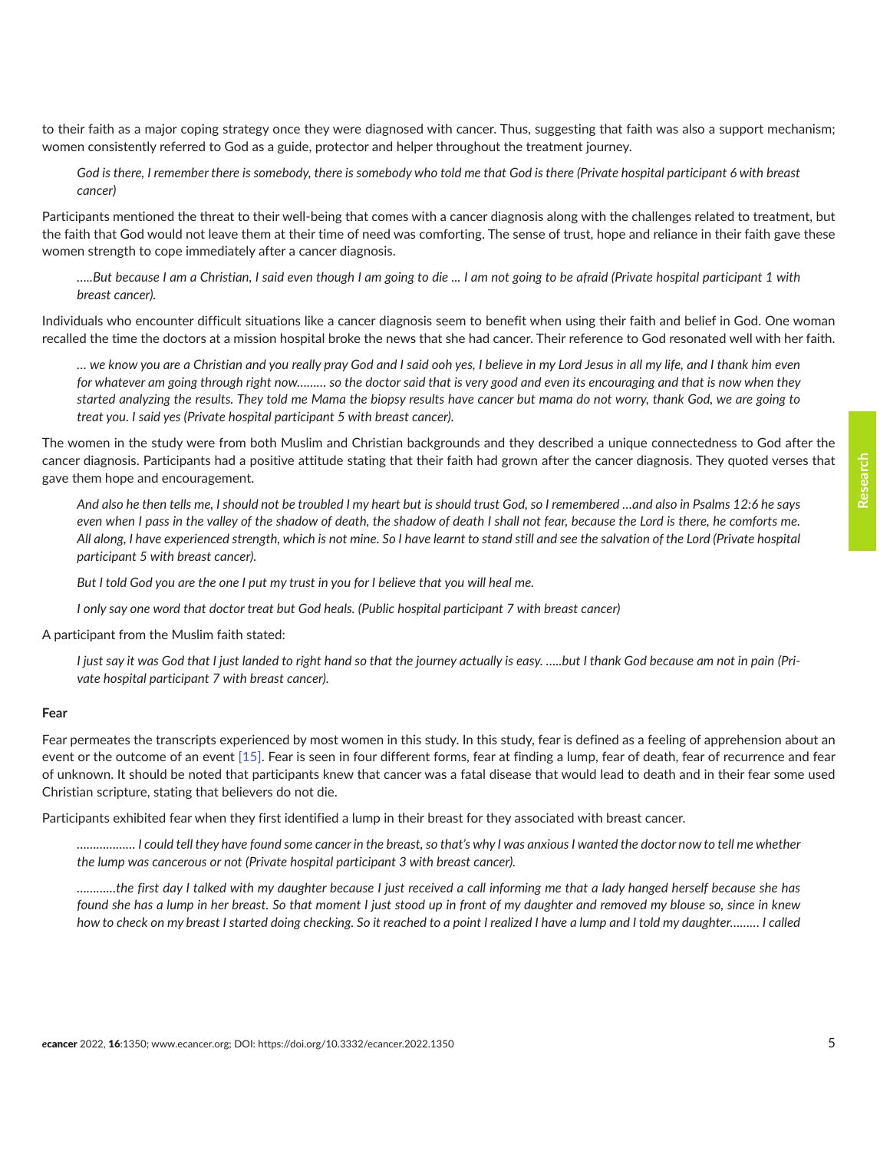to their faith as a major coping strategy once they were diagnosed with cancer. Thus, suggesting that faith was also a support mechanism; women consistently referred to God as a guide, protector and helper throughout the treatment journey.

God is there, I remember there is somebody, there is somebody who told me that God is there (Private hospital participant 6 with breast *cancer)*

Participants mentioned the threat to their well-being that comes with a cancer diagnosis along with the challenges related to treatment, but the faith that God would not leave them at their time of need was comforting. The sense of trust, hope and reliance in their faith gave these women strength to cope immediately after a cancer diagnosis.

*…..But because I am a Christian, I said even though I am going to die ... I am not going to be afraid (Private hospital participant 1 with breast cancer).*

Individuals who encounter difficult situations like a cancer diagnosis seem to benefit when using their faith and belief in God. One woman recalled the time the doctors at a mission hospital broke the news that she had cancer. Their reference to God resonated well with her faith.

*… we know you are a Christian and you really pray God and I said ooh yes, I believe in my Lord Jesus in all my life, and I thank him even for whatever am going through right now……… so the doctor said that is very good and even its encouraging and that is now when they started analyzing the results. They told me Mama the biopsy results have cancer but mama do not worry, thank God, we are going to treat you. I said yes (Private hospital participant 5 with breast cancer).*

The women in the study were from both Muslim and Christian backgrounds and they described a unique connectedness to God after the cancer diagnosis. Participants had a positive attitude stating that their faith had grown after the cancer diagnosis. They quoted verses that gave them hope and encouragement.

*And also he then tells me, I should not be troubled I my heart but is should trust God, so I remembered …and also in Psalms 12:6 he says*  even when I pass in the valley of the shadow of death, the shadow of death I shall not fear, because the Lord is there, he comforts me. *All along, I have experienced strength, which is not mine. So I have learnt to stand still and see the salvation of the Lord (Private hospital participant 5 with breast cancer).*

*But I told God you are the one I put my trust in you for I believe that you will heal me.*

*I only say one word that doctor treat but God heals. (Public hospital participant 7 with breast cancer)*

A participant from the Muslim faith stated:

I just say it was God that I just landed to right hand so that the journey actually is easy. .....but I thank God because am not in pain (Pri*vate hospital participant 7 with breast cancer).*

### **Fear**

Fear permeates the transcripts experienced by most women in this study. In this study, fear is defined as a feeling of apprehension about an event or the outcome of an event [\[15\].](#page-12-0) Fear is seen in four different forms, fear at finding a lump, fear of death, fear of recurrence and fear of unknown. It should be noted that participants knew that cancer was a fatal disease that would lead to death and in their fear some used Christian scripture, stating that believers do not die.

Participants exhibited fear when they first identified a lump in their breast for they associated with breast cancer.

*……………… I could tell they have found some cancer in the breast, so that's why I was anxious I wanted the doctor now to tell me whether the lump was cancerous or not (Private hospital participant 3 with breast cancer).*

*…………the first day I talked with my daughter because I just received a call informing me that a lady hanged herself because she has found she has a lump in her breast. So that moment I just stood up in front of my daughter and removed my blouse so, since in knew how to check on my breast I started doing checking. So it reached to a point I realized I have a lump and I told my daughter……… I called*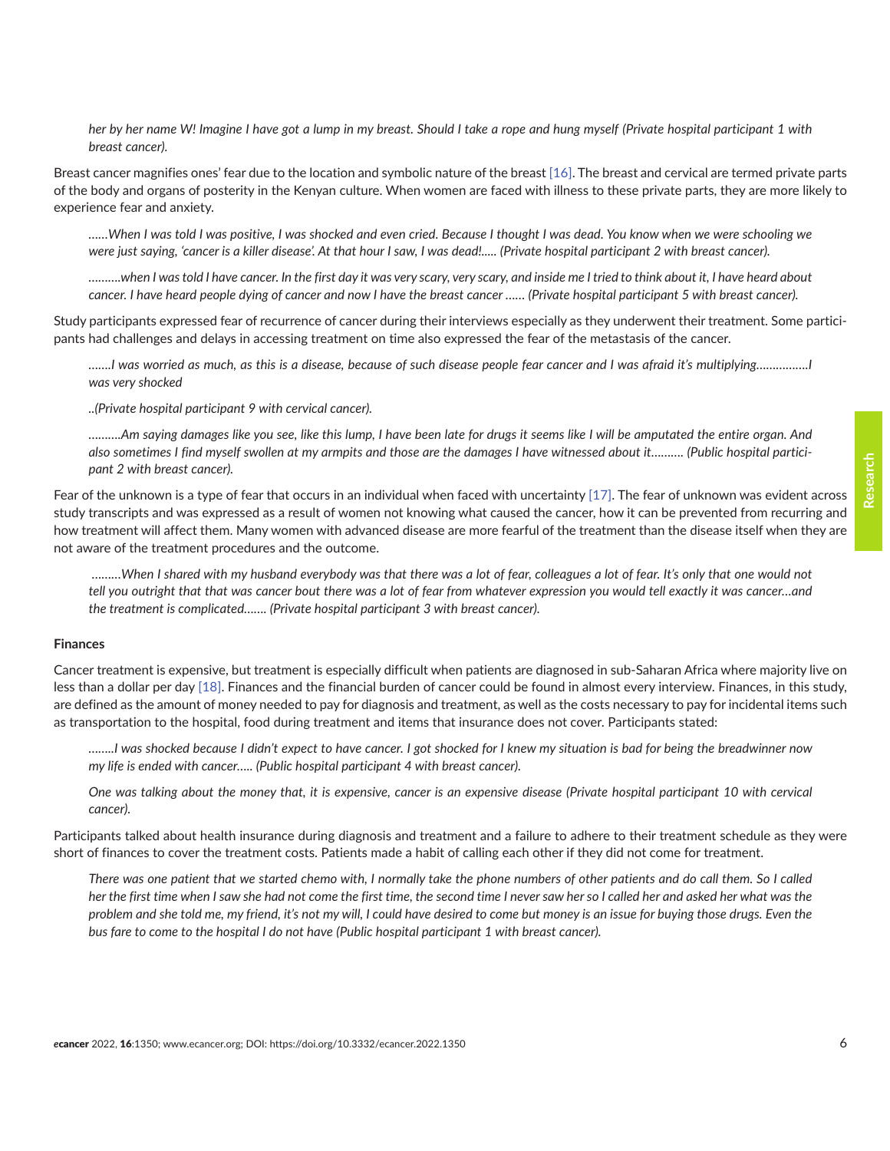*her by her name W! Imagine I have got a lump in my breast. Should I take a rope and hung myself (Private hospital participant 1 with breast cancer).*

Breast cancer magnifies ones' fear due to the location and symbolic nature of the breast [\[16\].](#page-12-0) The breast and cervical are termed private parts of the body and organs of posterity in the Kenyan culture. When women are faced with illness to these private parts, they are more likely to experience fear and anxiety.

*……When I was told I was positive, I was shocked and even cried. Because I thought I was dead. You know when we were schooling we were just saying, 'cancer is a killer disease'. At that hour I saw, I was dead!..... (Private hospital participant 2 with breast cancer).*

*……….when I was told I have cancer. In the first day it was very scary, very scary, and inside me I tried to think about it, I have heard about cancer. I have heard people dying of cancer and now I have the breast cancer …… (Private hospital participant 5 with breast cancer).*

Study participants expressed fear of recurrence of cancer during their interviews especially as they underwent their treatment. Some participants had challenges and delays in accessing treatment on time also expressed the fear of the metastasis of the cancer.

*…….I was worried as much, as this is a disease, because of such disease people fear cancer and I was afraid it's multiplying…………….I was very shocked*

*..(Private hospital participant 9 with cervical cancer).*

*……….Am saying damages like you see, like this lump, I have been late for drugs it seems like I will be amputated the entire organ. And also sometimes I find myself swollen at my armpits and those are the damages I have witnessed about it………. (Public hospital participant 2 with breast cancer).*

Fear of the unknown is a type of fear that occurs in an individual when faced with uncertainty [\[17\]](#page-12-0). The fear of unknown was evident across study transcripts and was expressed as a result of women not knowing what caused the cancer, how it can be prevented from recurring and how treatment will affect them. Many women with advanced disease are more fearful of the treatment than the disease itself when they are not aware of the treatment procedures and the outcome.

 *………When I shared with my husband everybody was that there was a lot of fear, colleagues a lot of fear. It's only that one would not tell you outright that that was cancer bout there was a lot of fear from whatever expression you would tell exactly it was cancer…and the treatment is complicated……. (Private hospital participant 3 with breast cancer).*

### **Finances**

Cancer treatment is expensive, but treatment is especially difficult when patients are diagnosed in sub-Saharan Africa where majority live on less than a dollar per day [\[18\]](#page-12-0). Finances and the financial burden of cancer could be found in almost every interview. Finances, in this study, are defined as the amount of money needed to pay for diagnosis and treatment, as well as the costs necessary to pay for incidental items such as transportation to the hospital, food during treatment and items that insurance does not cover. Participants stated:

*……..I was shocked because I didn't expect to have cancer. I got shocked for I knew my situation is bad for being the breadwinner now my life is ended with cancer….. (Public hospital participant 4 with breast cancer).*

*One was talking about the money that, it is expensive, cancer is an expensive disease (Private hospital participant 10 with cervical cancer).*

Participants talked about health insurance during diagnosis and treatment and a failure to adhere to their treatment schedule as they were short of finances to cover the treatment costs. Patients made a habit of calling each other if they did not come for treatment.

*There was one patient that we started chemo with, I normally take the phone numbers of other patients and do call them. So I called her the first time when I saw she had not come the first time, the second time I never saw her so I called her and asked her what was the problem and she told me, my friend, it's not my will, I could have desired to come but money is an issue for buying those drugs. Even the bus fare to come to the hospital I do not have (Public hospital participant 1 with breast cancer).*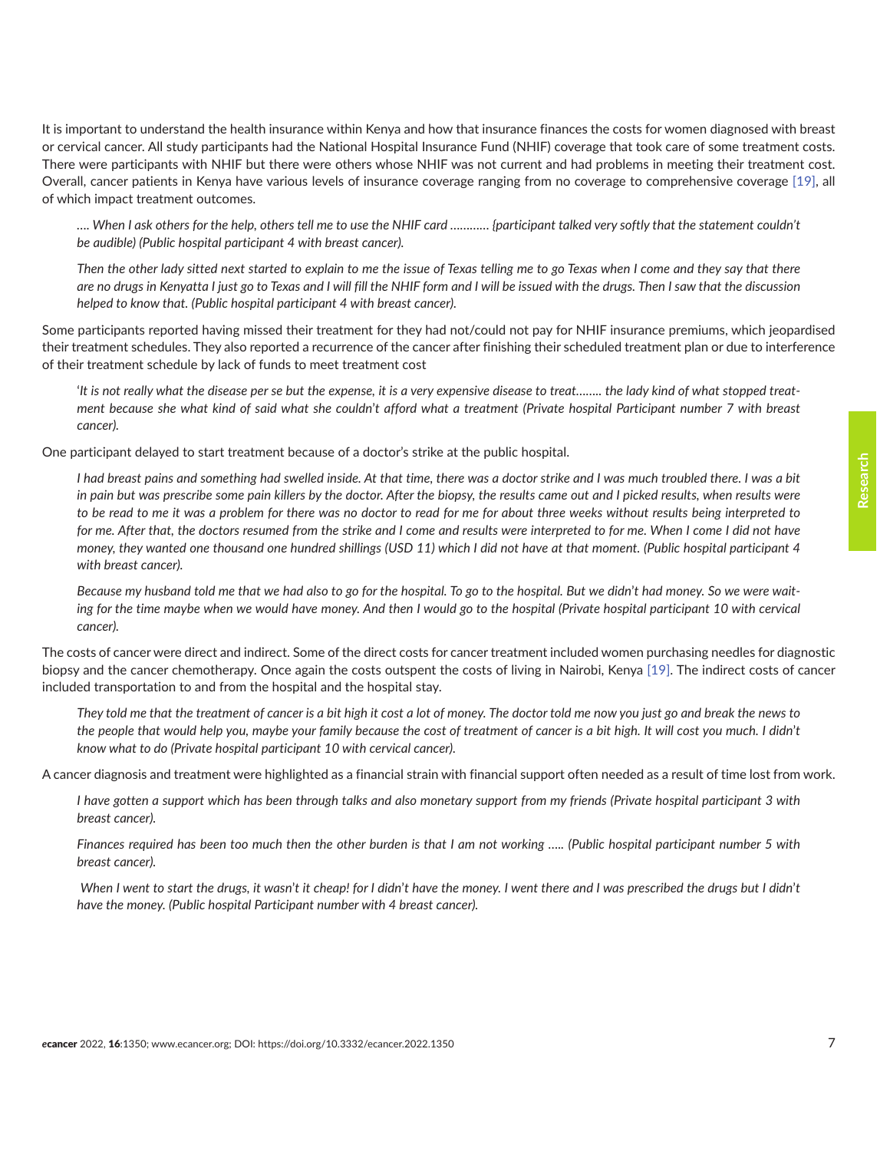It is important to understand the health insurance within Kenya and how that insurance finances the costs for women diagnosed with breast or cervical cancer. All study participants had the National Hospital Insurance Fund (NHIF) coverage that took care of some treatment costs. There were participants with NHIF but there were others whose NHIF was not current and had problems in meeting their treatment cost. Overall, cancer patients in Kenya have various levels of insurance coverage ranging from no coverage to comprehensive coverage [\[19\]](#page-12-0), all of which impact treatment outcomes.

*…. When I ask others for the help, others tell me to use the NHIF card ………… {participant talked very softly that the statement couldn't be audible) (Public hospital participant 4 with breast cancer).*

*Then the other lady sitted next started to explain to me the issue of Texas telling me to go Texas when I come and they say that there are no drugs in Kenyatta I just go to Texas and I will fill the NHIF form and I will be issued with the drugs. Then I saw that the discussion helped to know that. (Public hospital participant 4 with breast cancer).*

Some participants reported having missed their treatment for they had not/could not pay for NHIF insurance premiums, which jeopardised their treatment schedules. They also reported a recurrence of the cancer after finishing their scheduled treatment plan or due to interference of their treatment schedule by lack of funds to meet treatment cost

'*It is not really what the disease per se but the expense, it is a very expensive disease to treat…….. the lady kind of what stopped treatment because she what kind of said what she couldn*'*t afford what a treatment (Private hospital Participant number 7 with breast cancer).*

One participant delayed to start treatment because of a doctor's strike at the public hospital.

*I had breast pains and something had swelled inside. At that time, there was a doctor strike and I was much troubled there. I was a bit in pain but was prescribe some pain killers by the doctor. After the biopsy, the results came out and I picked results, when results were to be read to me it was a problem for there was no doctor to read for me for about three weeks without results being interpreted to*  for me. After that, the doctors resumed from the strike and I come and results were interpreted to for me. When I come I did not have *money, they wanted one thousand one hundred shillings (USD 11) which I did not have at that moment. (Public hospital participant 4 with breast cancer).*

*Because my husband told me that we had also to go for the hospital. To go to the hospital. But we didn*'*t had money. So we were waiting for the time maybe when we would have money. And then I would go to the hospital (Private hospital participant 10 with cervical cancer).*

The costs of cancer were direct and indirect. Some of the direct costs for cancer treatment included women purchasing needles for diagnostic biopsy and the cancer chemotherapy. Once again the costs outspent the costs of living in Nairobi, Kenya [\[19\]](#page-12-0). The indirect costs of cancer included transportation to and from the hospital and the hospital stay.

*They told me that the treatment of cancer is a bit high it cost a lot of money. The doctor told me now you just go and break the news to the people that would help you, maybe your family because the cost of treatment of cancer is a bit high. It will cost you much. I didn*'*t know what to do (Private hospital participant 10 with cervical cancer).*

A cancer diagnosis and treatment were highlighted as a financial strain with financial support often needed as a result of time lost from work.

*I have gotten a support which has been through talks and also monetary support from my friends (Private hospital participant 3 with breast cancer).*

*Finances required has been too much then the other burden is that I am not working ….. (Public hospital participant number 5 with breast cancer).*

*When I went to start the drugs, it wasn*'*t it cheap! for I didn*'*t have the money. I went there and I was prescribed the drugs but I didn*'*t have the money. (Public hospital Participant number with 4 breast cancer).*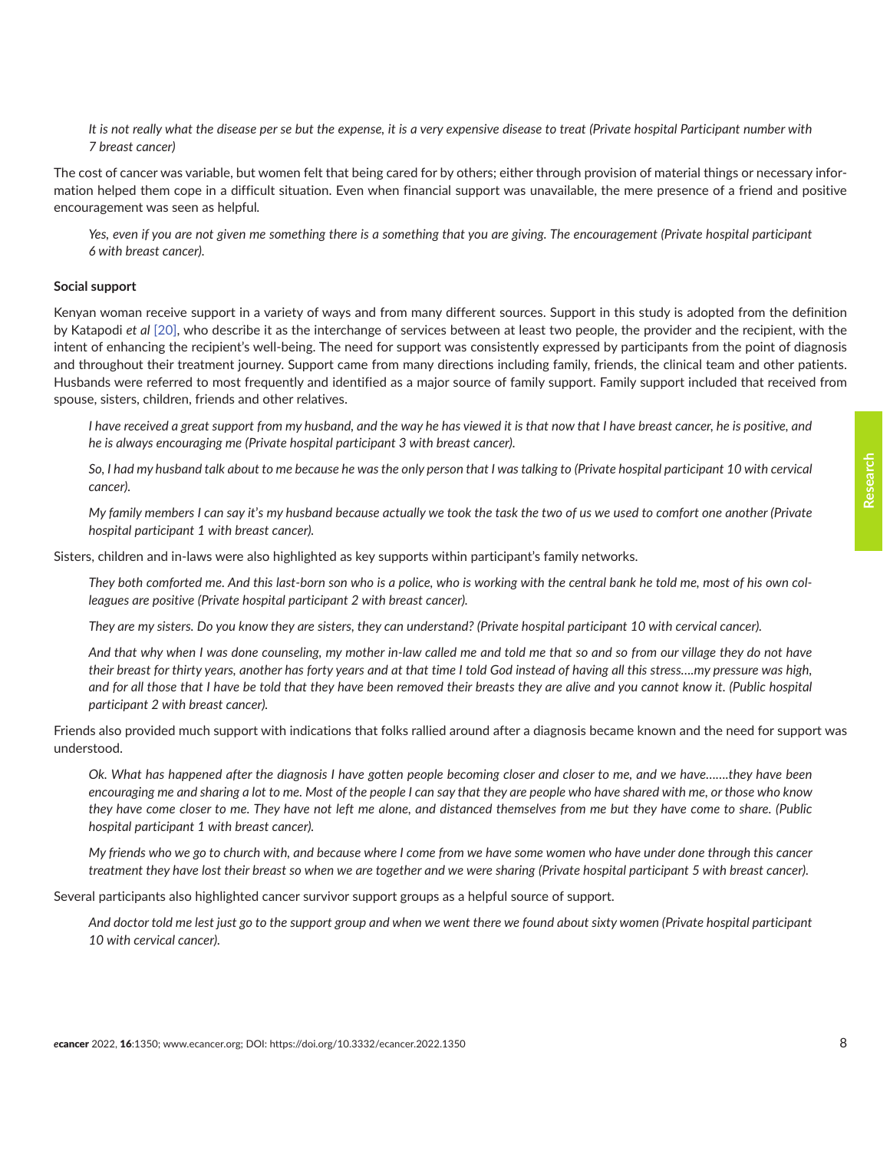*It is not really what the disease per se but the expense, it is a very expensive disease to treat (Private hospital Participant number with 7 breast cancer)*

The cost of cancer was variable, but women felt that being cared for by others; either through provision of material things or necessary information helped them cope in a difficult situation. Even when financial support was unavailable, the mere presence of a friend and positive encouragement was seen as helpful*.*

Yes, even if you are not given me something there is a something that you are giving. The encouragement (Private hospital participant *6 with breast cancer).*

### **Social support**

Kenyan woman receive support in a variety of ways and from many different sources. Support in this study is adopted from the definition by Katapodi *et al* [\[20\],](#page-12-0) who describe it as the interchange of services between at least two people, the provider and the recipient, with the intent of enhancing the recipient's well-being. The need for support was consistently expressed by participants from the point of diagnosis and throughout their treatment journey. Support came from many directions including family, friends, the clinical team and other patients. Husbands were referred to most frequently and identified as a major source of family support. Family support included that received from spouse, sisters, children, friends and other relatives.

*I have received a great support from my husband, and the way he has viewed it is that now that I have breast cancer, he is positive, and he is always encouraging me (Private hospital participant 3 with breast cancer).*

*So, I had my husband talk about to me because he was the only person that I was talking to (Private hospital participant 10 with cervical cancer).*

*My family members I can say it*'*s my husband because actually we took the task the two of us we used to comfort one another (Private hospital participant 1 with breast cancer).*

Sisters, children and in-laws were also highlighted as key supports within participant's family networks.

*They both comforted me. And this last-born son who is a police, who is working with the central bank he told me, most of his own colleagues are positive (Private hospital participant 2 with breast cancer).*

*They are my sisters. Do you know they are sisters, they can understand? (Private hospital participant 10 with cervical cancer).*

*And that why when I was done counseling, my mother in-law called me and told me that so and so from our village they do not have their breast for thirty years, another has forty years and at that time I told God instead of having all this stress….my pressure was high, and for all those that I have be told that they have been removed their breasts they are alive and you cannot know it. (Public hospital participant 2 with breast cancer).*

Friends also provided much support with indications that folks rallied around after a diagnosis became known and the need for support was understood.

*Ok. What has happened after the diagnosis I have gotten people becoming closer and closer to me, and we have…….they have been encouraging me and sharing a lot to me. Most of the people I can say that they are people who have shared with me, or those who know they have come closer to me. They have not left me alone, and distanced themselves from me but they have come to share. (Public hospital participant 1 with breast cancer).*

*My friends who we go to church with, and because where I come from we have some women who have under done through this cancer treatment they have lost their breast so when we are together and we were sharing (Private hospital participant 5 with breast cancer).*

Several participants also highlighted cancer survivor support groups as a helpful source of support.

*And doctor told me lest just go to the support group and when we went there we found about sixty women (Private hospital participant 10 with cervical cancer).*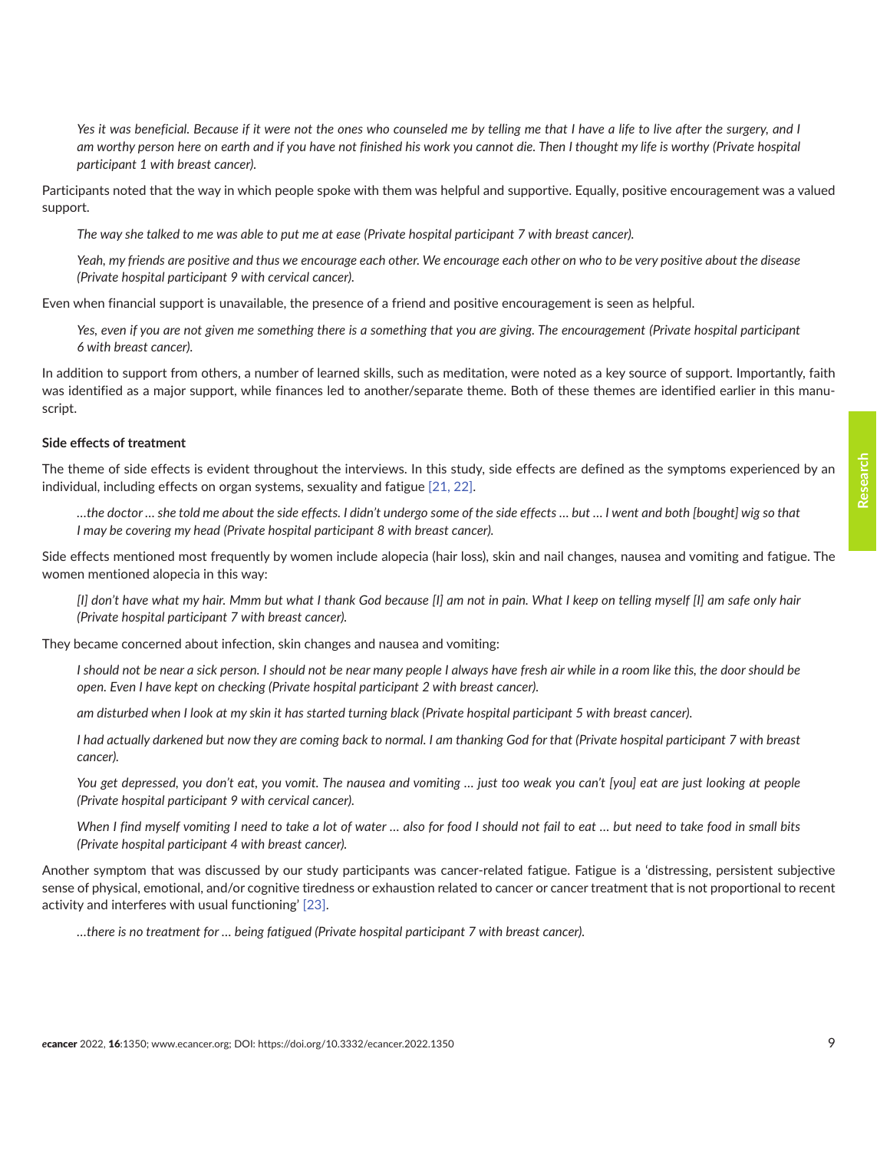*Yes it was beneficial. Because if it were not the ones who counseled me by telling me that I have a life to live after the surgery, and I am worthy person here on earth and if you have not finished his work you cannot die. Then I thought my life is worthy (Private hospital participant 1 with breast cancer).*

Participants noted that the way in which people spoke with them was helpful and supportive. Equally, positive encouragement was a valued support.

*The way she talked to me was able to put me at ease (Private hospital participant 7 with breast cancer).*

*Yeah, my friends are positive and thus we encourage each other. We encourage each other on who to be very positive about the disease (Private hospital participant 9 with cervical cancer).*

Even when financial support is unavailable, the presence of a friend and positive encouragement is seen as helpful.

*Yes, even if you are not given me something there is a something that you are giving. The encouragement (Private hospital participant 6 with breast cancer).*

In addition to support from others, a number of learned skills, such as meditation, were noted as a key source of support. Importantly, faith was identified as a major support, while finances led to another/separate theme. Both of these themes are identified earlier in this manuscript.

### **Side effects of treatment**

The theme of side effects is evident throughout the interviews. In this study, side effects are defined as the symptoms experienced by an individual, including effects on organ systems, sexuality and fatigue [\[21, 22\]](#page-13-0).

*…the doctor … she told me about the side effects. I didn't undergo some of the side effects … but … I went and both [bought] wig so that I may be covering my head (Private hospital participant 8 with breast cancer).*

Side effects mentioned most frequently by women include alopecia (hair loss), skin and nail changes, nausea and vomiting and fatigue. The women mentioned alopecia in this way:

*[I] don't have what my hair. Mmm but what I thank God because [I] am not in pain. What I keep on telling myself [I] am safe only hair (Private hospital participant 7 with breast cancer).*

They became concerned about infection, skin changes and nausea and vomiting:

*I should not be near a sick person. I should not be near many people I always have fresh air while in a room like this, the door should be open. Even I have kept on checking (Private hospital participant 2 with breast cancer).*

*am disturbed when I look at my skin it has started turning black (Private hospital participant 5 with breast cancer).*

*I had actually darkened but now they are coming back to normal. I am thanking God for that (Private hospital participant 7 with breast cancer).*

*You get depressed, you don't eat, you vomit. The nausea and vomiting … just too weak you can't [you] eat are just looking at people (Private hospital participant 9 with cervical cancer).*

*When I find myself vomiting I need to take a lot of water … also for food I should not fail to eat … but need to take food in small bits (Private hospital participant 4 with breast cancer).*

Another symptom that was discussed by our study participants was cancer-related fatigue. Fatigue is a 'distressing, persistent subjective sense of physical, emotional, and/or cognitive tiredness or exhaustion related to cancer or cancer treatment that is not proportional to recent activity and interferes with usual functioning' [\[23\]](#page-13-0).

*…there is no treatment for … being fatigued (Private hospital participant 7 with breast cancer).*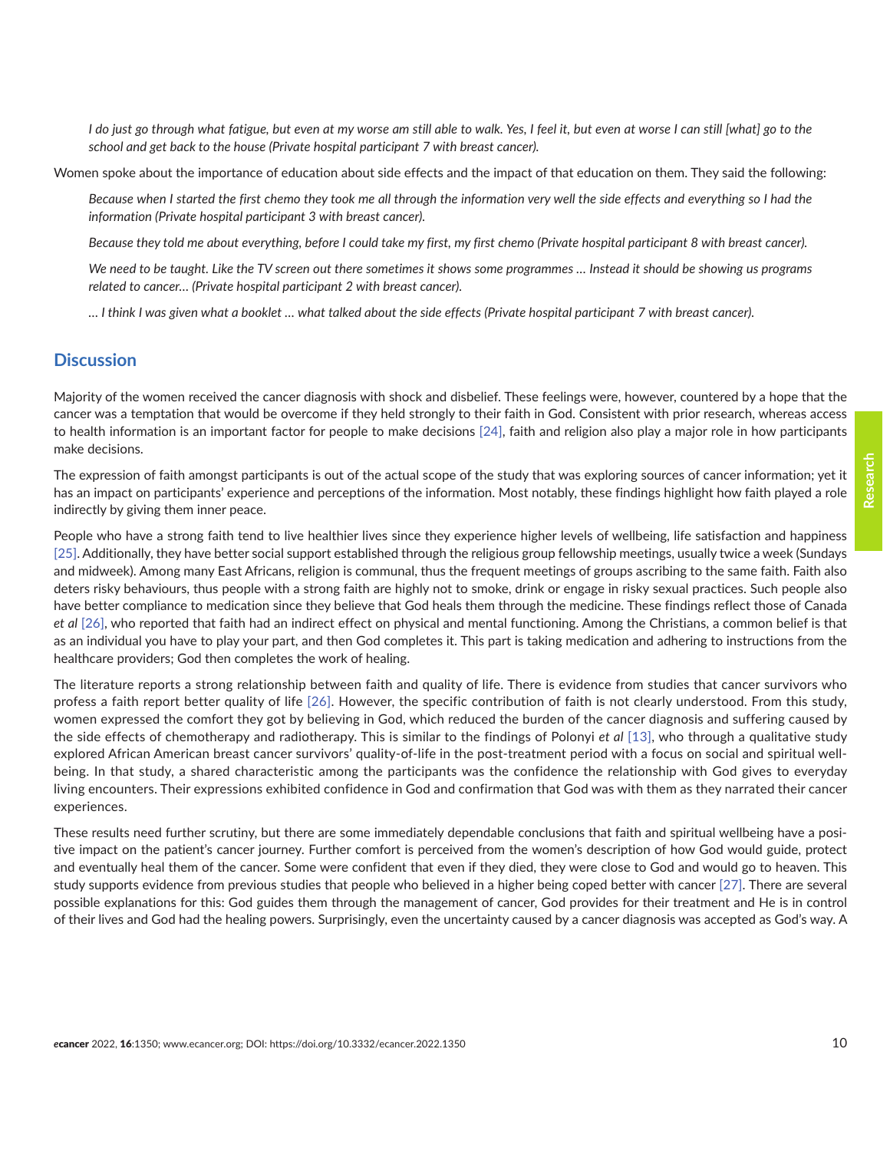*I do just go through what fatigue, but even at my worse am still able to walk. Yes, I feel it, but even at worse I can still [what] go to the school and get back to the house (Private hospital participant 7 with breast cancer).*

Women spoke about the importance of education about side effects and the impact of that education on them. They said the following:

Because when I started the first chemo they took me all through the information very well the side effects and everything so I had the *information (Private hospital participant 3 with breast cancer).*

*Because they told me about everything, before I could take my first, my first chemo (Private hospital participant 8 with breast cancer).*

*We need to be taught. Like the TV screen out there sometimes it shows some programmes … Instead it should be showing us programs related to cancer… (Private hospital participant 2 with breast cancer).*

*… I think I was given what a booklet … what talked about the side effects (Private hospital participant 7 with breast cancer).*

### **Discussion**

Majority of the women received the cancer diagnosis with shock and disbelief. These feelings were, however, countered by a hope that the cancer was a temptation that would be overcome if they held strongly to their faith in God. Consistent with prior research, whereas access to health information is an important factor for people to make decisions [\[24\],](#page-13-0) faith and religion also play a major role in how participants make decisions.

The expression of faith amongst participants is out of the actual scope of the study that was exploring sources of cancer information; yet it has an impact on participants' experience and perceptions of the information. Most notably, these findings highlight how faith played a role indirectly by giving them inner peace.

People who have a strong faith tend to live healthier lives since they experience higher levels of wellbeing, life satisfaction and happiness [\[25\].](#page-13-0) Additionally, they have better social support established through the religious group fellowship meetings, usually twice a week (Sundays and midweek). Among many East Africans, religion is communal, thus the frequent meetings of groups ascribing to the same faith. Faith also deters risky behaviours, thus people with a strong faith are highly not to smoke, drink or engage in risky sexual practices. Such people also have better compliance to medication since they believe that God heals them through the medicine. These findings reflect those of Canada *et al* [\[26\],](#page-13-0) who reported that faith had an indirect effect on physical and mental functioning. Among the Christians, a common belief is that as an individual you have to play your part, and then God completes it. This part is taking medication and adhering to instructions from the healthcare providers; God then completes the work of healing.

The literature reports a strong relationship between faith and quality of life. There is evidence from studies that cancer survivors who profess a faith report better quality of life [\[26\].](#page-13-0) However, the specific contribution of faith is not clearly understood. From this study, women expressed the comfort they got by believing in God, which reduced the burden of the cancer diagnosis and suffering caused by the side effects of chemotherapy and radiotherapy. This is similar to the findings of Polonyi *et al* [\[13\]](#page-12-0), who through a qualitative study explored African American breast cancer survivors' quality-of-life in the post-treatment period with a focus on social and spiritual wellbeing. In that study, a shared characteristic among the participants was the confidence the relationship with God gives to everyday living encounters. Their expressions exhibited confidence in God and confirmation that God was with them as they narrated their cancer experiences.

These results need further scrutiny, but there are some immediately dependable conclusions that faith and spiritual wellbeing have a positive impact on the patient's cancer journey. Further comfort is perceived from the women's description of how God would guide, protect and eventually heal them of the cancer. Some were confident that even if they died, they were close to God and would go to heaven. This study supports evidence from previous studies that people who believed in a higher being coped better with cancer [\[27\].](#page-13-0) There are several possible explanations for this: God guides them through the management of cancer, God provides for their treatment and He is in control of their lives and God had the healing powers. Surprisingly, even the uncertainty caused by a cancer diagnosis was accepted as God's way. A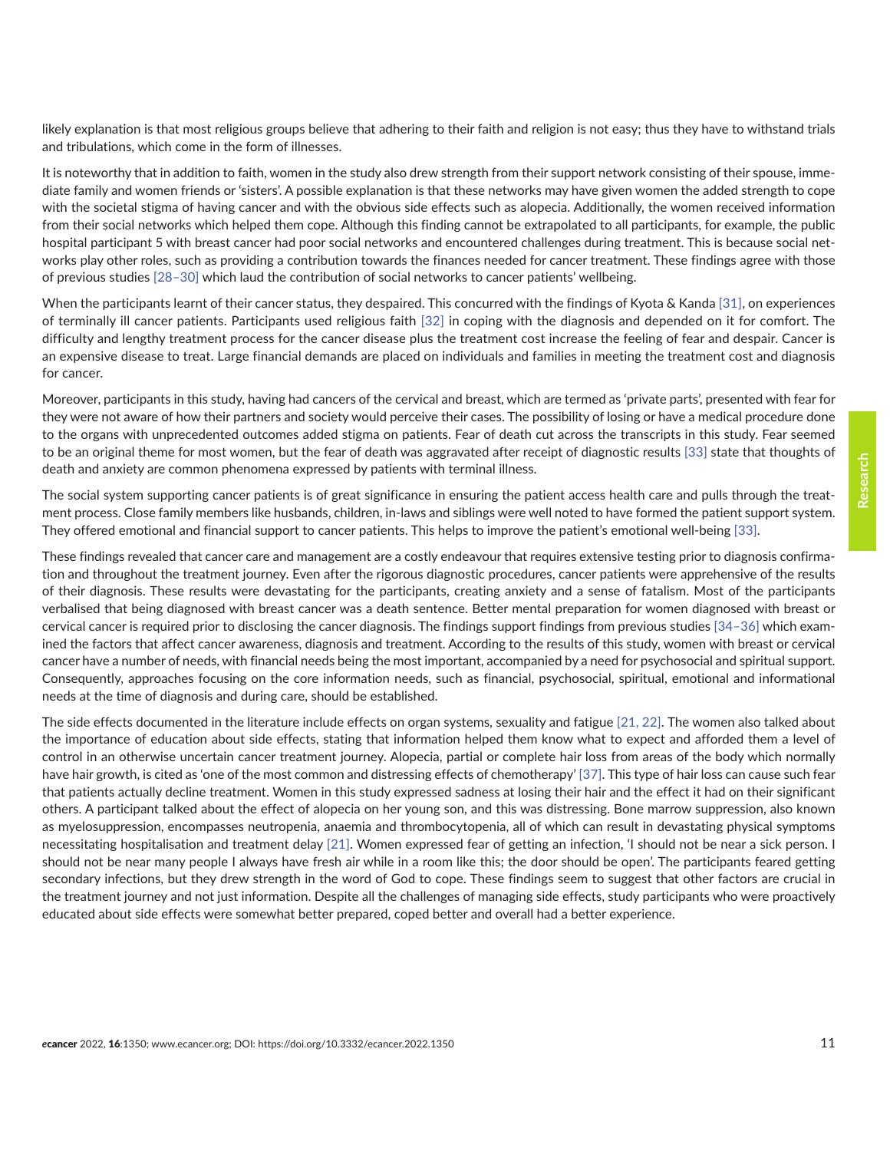likely explanation is that most religious groups believe that adhering to their faith and religion is not easy; thus they have to withstand trials and tribulations, which come in the form of illnesses.

It is noteworthy that in addition to faith, women in the study also drew strength from their support network consisting of their spouse, immediate family and women friends or 'sisters'. A possible explanation is that these networks may have given women the added strength to cope with the societal stigma of having cancer and with the obvious side effects such as alopecia. Additionally, the women received information from their social networks which helped them cope. Although this finding cannot be extrapolated to all participants, for example, the public hospital participant 5 with breast cancer had poor social networks and encountered challenges during treatment. This is because social networks play other roles, such as providing a contribution towards the finances needed for cancer treatment. These findings agree with those of previous studies [\[28–30\]](#page-13-0) which laud the contribution of social networks to cancer patients' wellbeing.

When the participants learnt of their cancer status, they despaired. This concurred with the findings of Kyota & Kanda [\[31\],](#page-13-0) on experiences of terminally ill cancer patients. Participants used religious faith [\[32\]](#page-13-0) in coping with the diagnosis and depended on it for comfort. The difficulty and lengthy treatment process for the cancer disease plus the treatment cost increase the feeling of fear and despair. Cancer is an expensive disease to treat. Large financial demands are placed on individuals and families in meeting the treatment cost and diagnosis for cancer.

Moreover, participants in this study, having had cancers of the cervical and breast, which are termed as 'private parts', presented with fear for they were not aware of how their partners and society would perceive their cases. The possibility of losing or have a medical procedure done to the organs with unprecedented outcomes added stigma on patients. Fear of death cut across the transcripts in this study. Fear seemed to be an original theme for most women, but the fear of death was aggravated after receipt of diagnostic results [\[33\]](#page-13-0) state that thoughts of death and anxiety are common phenomena expressed by patients with terminal illness.

The social system supporting cancer patients is of great significance in ensuring the patient access health care and pulls through the treatment process. Close family members like husbands, children, in-laws and siblings were well noted to have formed the patient support system. They offered emotional and financial support to cancer patients. This helps to improve the patient's emotional well-being [\[33\]](#page-13-0).

These findings revealed that cancer care and management are a costly endeavour that requires extensive testing prior to diagnosis confirmation and throughout the treatment journey. Even after the rigorous diagnostic procedures, cancer patients were apprehensive of the results of their diagnosis. These results were devastating for the participants, creating anxiety and a sense of fatalism. Most of the participants verbalised that being diagnosed with breast cancer was a death sentence. Better mental preparation for women diagnosed with breast or cervical cancer is required prior to disclosing the cancer diagnosis. The findings support findings from previous studies [\[34–36\]](#page-13-0) which examined the factors that affect cancer awareness, diagnosis and treatment. According to the results of this study, women with breast or cervical cancer have a number of needs, with financial needs being the most important, accompanied by a need for psychosocial and spiritual support. Consequently, approaches focusing on the core information needs, such as financial, psychosocial, spiritual, emotional and informational needs at the time of diagnosis and during care, should be established.

The side effects documented in the literature include effects on organ systems, sexuality and fatigue [\[21, 22\]](#page-13-0). The women also talked about the importance of education about side effects, stating that information helped them know what to expect and afforded them a level of control in an otherwise uncertain cancer treatment journey. Alopecia, partial or complete hair loss from areas of the body which normally have hair growth, is cited as 'one of the most common and distressing effects of chemotherapy' [\[37\]](#page-13-0). This type of hair loss can cause such fear that patients actually decline treatment. Women in this study expressed sadness at losing their hair and the effect it had on their significant others. A participant talked about the effect of alopecia on her young son, and this was distressing. Bone marrow suppression, also known as myelosuppression, encompasses neutropenia, anaemia and thrombocytopenia, all of which can result in devastating physical symptoms necessitating hospitalisation and treatment delay [\[21\].](#page-13-0) Women expressed fear of getting an infection, 'I should not be near a sick person. I should not be near many people I always have fresh air while in a room like this; the door should be open'. The participants feared getting secondary infections, but they drew strength in the word of God to cope. These findings seem to suggest that other factors are crucial in the treatment journey and not just information. Despite all the challenges of managing side effects, study participants who were proactively educated about side effects were somewhat better prepared, coped better and overall had a better experience.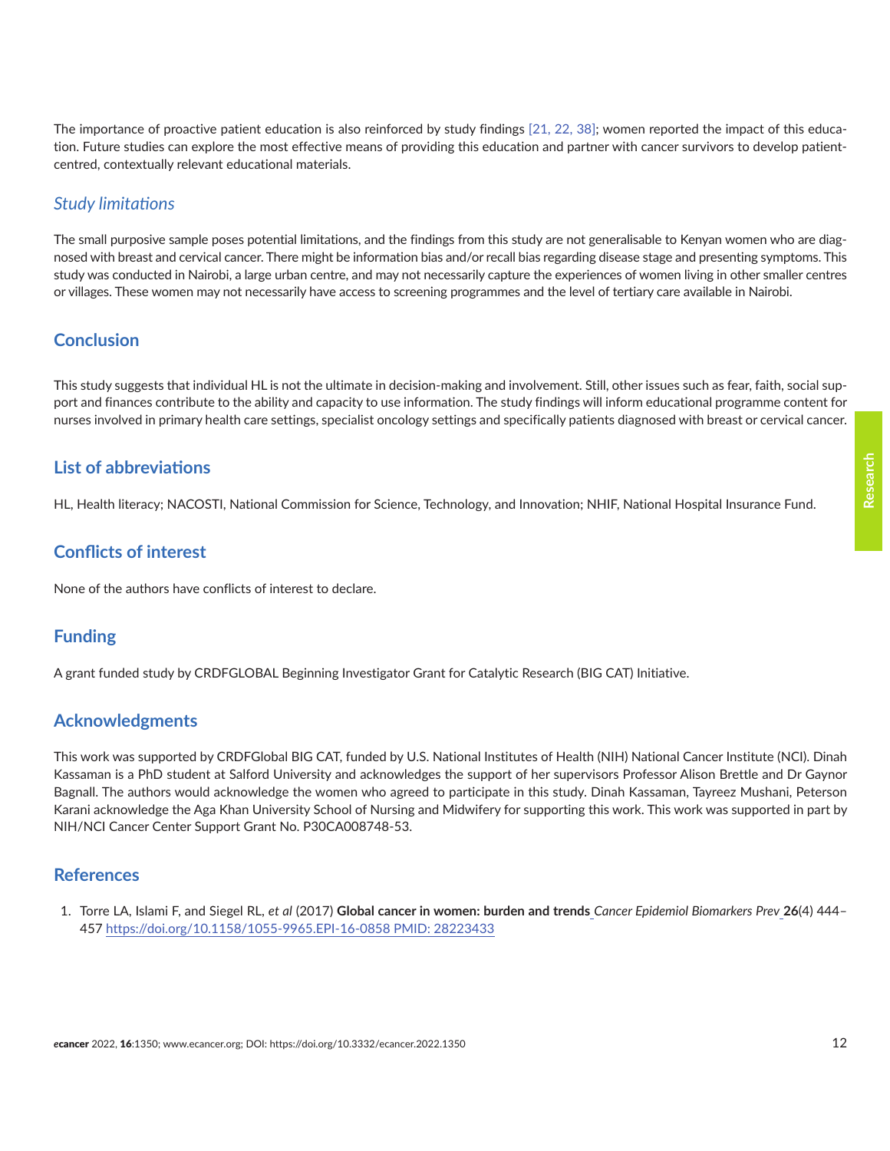<span id="page-11-0"></span>The importance of proactive patient education is also reinforced by study findings [\[21,](#page-13-0) [22,](#page-13-0) [38\];](#page-13-0) women reported the impact of this education. Future studies can explore the most effective means of providing this education and partner with cancer survivors to develop patientcentred, contextually relevant educational materials.

### *Study limitations*

The small purposive sample poses potential limitations, and the findings from this study are not generalisable to Kenyan women who are diagnosed with breast and cervical cancer. There might be information bias and/or recall bias regarding disease stage and presenting symptoms. This study was conducted in Nairobi, a large urban centre, and may not necessarily capture the experiences of women living in other smaller centres or villages. These women may not necessarily have access to screening programmes and the level of tertiary care available in Nairobi.

### **Conclusion**

This study suggests that individual HL is not the ultimate in decision-making and involvement. Still, other issues such as fear, faith, social support and finances contribute to the ability and capacity to use information. The study findings will inform educational programme content for nurses involved in primary health care settings, specialist oncology settings and specifically patients diagnosed with breast or cervical cancer.

### **List of abbreviations**

HL, Health literacy; NACOSTI, National Commission for Science, Technology, and Innovation; NHIF, National Hospital Insurance Fund.

### **Conflicts of interest**

None of the authors have conflicts of interest to declare.

### **Funding**

A grant funded study by CRDFGLOBAL Beginning Investigator Grant for Catalytic Research (BIG CAT) Initiative.

### **Acknowledgments**

This work was supported by CRDFGlobal BIG CAT, funded by U.S. National Institutes of Health (NIH) National Cancer Institute (NCI). Dinah Kassaman is a PhD student at Salford University and acknowledges the support of her supervisors Professor Alison Brettle and Dr Gaynor Bagnall. The authors would acknowledge the women who agreed to participate in this study. Dinah Kassaman, Tayreez Mushani, Peterson Karani acknowledge the Aga Khan University School of Nursing and Midwifery for supporting this work. This work was supported in part by NIH/NCI Cancer Center Support Grant No. P30CA008748-53.

### **References**

1. Torre LA, Islami F, and Siegel RL, *et al* (2017) **[Global cancer in women: burden and trends](http://www.ncbi.nlm.nih.gov/pmc/articles/PMC8162879)** *Cancer Epidemiol Biomarkers Prev* **26**(4) 444– [457 https://doi.org/10.1158/1055-9965.EPI-16-0858 PMID: 28223433](http://www.ncbi.nlm.nih.gov/pmc/articles/PMC8162879)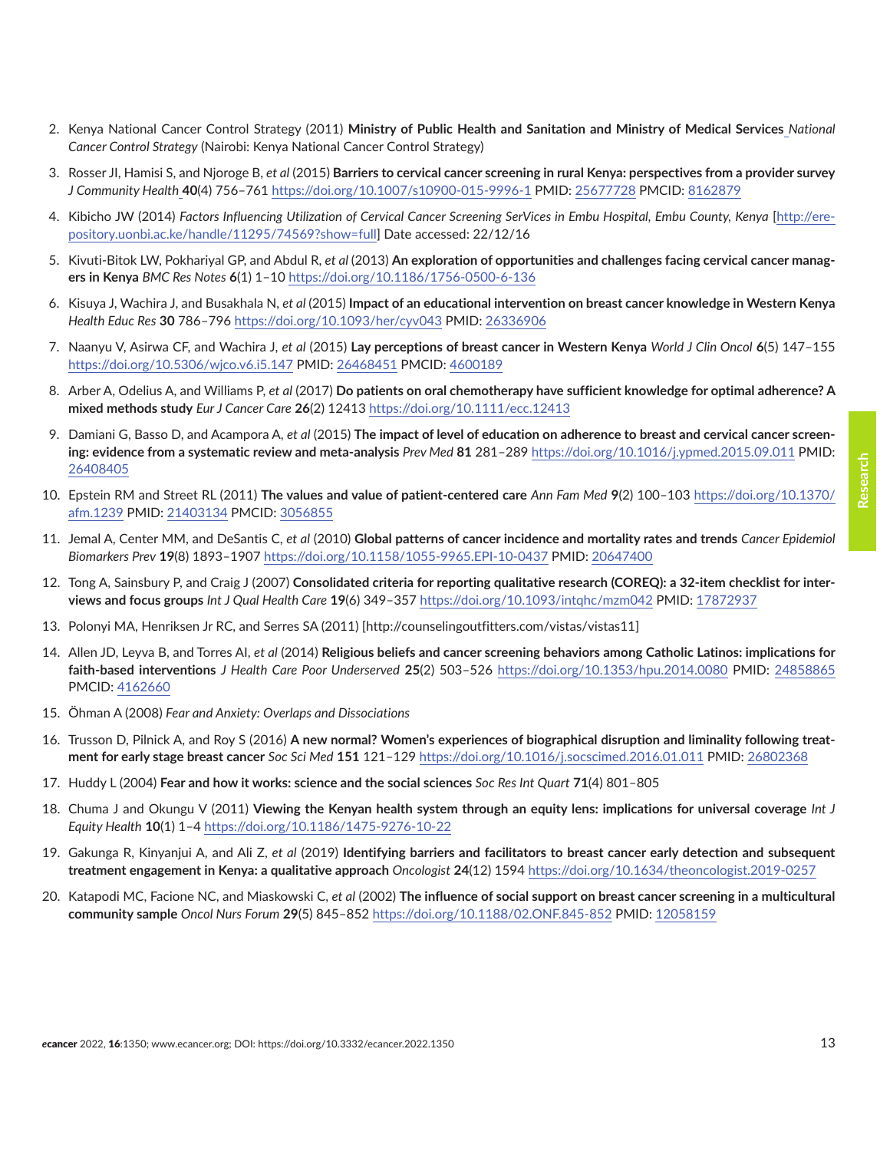- <span id="page-12-0"></span>2. Kenya National Cancer Control Strategy (2011) **[Ministry of Public Health and Sanitation and Ministry of Medical Services](http://www.ncbi.nlm.nih.gov/pmc/articles/PMC8162879)** *National Cancer Control Strategy* [\(Nairobi: Kenya National Cancer Control Strategy\)](http://www.ncbi.nlm.nih.gov/pmc/articles/PMC8162879)
- 3. Rosser JI, Hamisi S, and Njoroge B, *et al* (2015) **[Barriers to cervical cancer screening in rural Kenya: perspectives from a provider survey](http://www.ncbi.nlm.nih.gov/pmc/articles/PMC8162879)** *J Community Health* **40**[\(4\) 756–761 https://doi.org/10.1007/s10900-015-9996-1 PMID: 25677728 PMCID: 8162879](http://www.ncbi.nlm.nih.gov/pmc/articles/PMC8162879)
- 4. Kibicho JW (2014) *[Factors Influencing Utilization of Cervical Cancer Screening SerVices in Embu Hospital, Embu County, Kenya](http://www.ncbi.nlm.nih.gov/pmc/articles/PMC8162879)* [http://ere[pository.uonbi.ac.ke/handle/11295/74569?show=full](http://www.ncbi.nlm.nih.gov/pmc/articles/PMC8162879)] Date accessed: 22/12/16
- 5. Kivuti-Bitok LW, Pokhariyal GP, and Abdul R, *et al* (2013) **An exploration of opportunities and challenges facing cervical cancer managers in Kenya** *BMC Res Notes* **6**(1) 1–10 <https://doi.org/10.1186/1756-0500-6-136>
- 6. Kisuya J, Wachira J, and Busakhala N, *et al* (2015) **Impact of an educational intervention on breast cancer knowledge in Western Kenya** *Health Educ Res* **30** 786–796<https://doi.org/10.1093/her/cyv043> PMID: [26336906](http://www.ncbi.nlm.nih.gov/pubmed/26336906)
- 7. Naanyu V, Asirwa CF, and Wachira J, *et al* (2015) **Lay perceptions of breast cancer in Western Kenya** *World J Clin Oncol* **6**(5) 147–155 <https://doi.org/10.5306/wjco.v6.i5.147>PMID: [26468451](http://www.ncbi.nlm.nih.gov/pubmed/26468451) PMCID: [4600189](http://www.ncbi.nlm.nih.gov/pmc/articles/PMC4600189)
- 8. Arber A, Odelius A, and Williams P, *et al* (2017) **Do patients on oral chemotherapy have sufficient knowledge for optimal adherence? A mixed methods study** *Eur J Cancer Care* **26**(2) 12413<https://doi.org/10.1111/ecc.12413>
- 9. Damiani G, Basso D, and Acampora A, *et al* (2015) **The impact of level of education on adherence to breast and cervical cancer screening: evidence from a systematic review and meta-analysis** *Prev Med* **81** 281–289 <https://doi.org/10.1016/j.ypmed.2015.09.011> PMID: [26408405](http://www.ncbi.nlm.nih.gov/pubmed/26408405)
- 10. Epstein RM and Street RL (2011) **The values and value of patient-centered care** *Ann Fam Med* **9**(2) 100–103 [https://doi.org/10.1370/](https://doi.org/10.1370/afm.1239) [afm.1239](https://doi.org/10.1370/afm.1239) PMID: [21403134](http://www.ncbi.nlm.nih.gov/pubmed/21403134) PMCID: [3056855](http://www.ncbi.nlm.nih.gov/pmc/articles/PMC3056855)
- 11. Jemal A, Center MM, and DeSantis C, *et al* (2010) **Global patterns of cancer incidence and mortality rates and trends** *Cancer Epidemiol Biomarkers Prev* **19**(8) 1893–1907 <https://doi.org/10.1158/1055-9965.EPI-10-0437> PMID: [20647400](http://www.ncbi.nlm.nih.gov/pubmed/20647400)
- 12. Tong A, Sainsbury P, and Craig J (2007) **Consolidated criteria for reporting qualitative research (COREQ): a 32-item checklist for interviews and focus groups** *Int J Qual Health Care* **19**(6) 349–357<https://doi.org/10.1093/intqhc/mzm042> PMID: [17872937](http://www.ncbi.nlm.nih.gov/pubmed/17872937)
- 13. Polonyi MA, Henriksen Jr RC, and Serres SA (2011) [http://counselingoutfitters.com/vistas/vistas11]
- 14. Allen JD, Leyva B, and Torres AI, *et al* (2014) **Religious beliefs and cancer screening behaviors among Catholic Latinos: implications for faith-based interventions** *J Health Care Poor Underserved* **25**(2) 503–526 <https://doi.org/10.1353/hpu.2014.0080>PMID: [24858865](http://www.ncbi.nlm.nih.gov/pubmed/24858865) PMCID: [4162660](http://www.ncbi.nlm.nih.gov/pmc/articles/PMC4162660)
- 15. Öhman A (2008) *Fear and Anxiety: Overlaps and Dissociations*
- 16. Trusson D, Pilnick A, and Roy S (2016) **A new normal? Women's experiences of biographical disruption and liminality following treatment for early stage breast cancer** *Soc Sci Med* **151** 121–129 <https://doi.org/10.1016/j.socscimed.2016.01.011> PMID: [26802368](http://www.ncbi.nlm.nih.gov/pubmed/26802368)
- 17. Huddy L (2004) **Fear and how it works: science and the social sciences** *Soc Res Int Quart* **71**(4) 801–805
- 18. Chuma J and Okungu V (2011) **Viewing the Kenyan health system through an equity lens: implications for universal coverage** *Int J Equity Health* **10**(1) 1–4 <https://doi.org/10.1186/1475-9276-10-22>
- 19. Gakunga R, Kinyanjui A, and Ali Z, *et al* (2019) **Identifying barriers and facilitators to breast cancer early detection and subsequent treatment engagement in Kenya: a qualitative approach** *Oncologist* **24**(12) 1594 <https://doi.org/10.1634/theoncologist.2019-0257>
- 20. Katapodi MC, Facione NC, and Miaskowski C, *et al* (2002) **The influence of social support on breast cancer screening in a multicultural community sample** *Oncol Nurs Forum* **29**(5) 845–852<https://doi.org/10.1188/02.ONF.845-852> PMID: [12058159](http://www.ncbi.nlm.nih.gov/pubmed/12058159)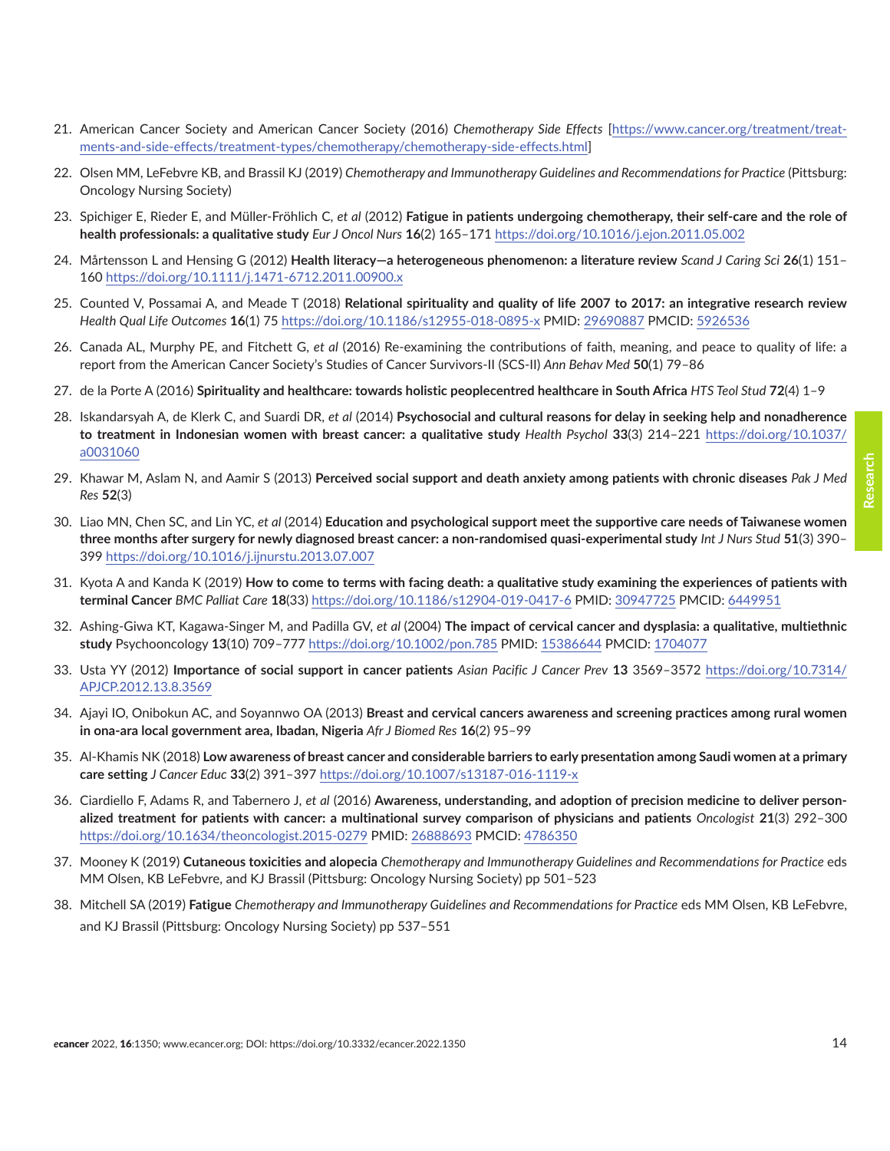- <span id="page-13-0"></span>22. Olsen MM, LeFebvre KB, and Brassil KJ (2019) *Chemotherapy and Immunotherapy Guidelines and Recommendations for Practice* (Pittsburg: Oncology Nursing Society)
- 23. Spichiger E, Rieder E, and Müller-Fröhlich C, *et al* (2012) **Fatigue in patients undergoing chemotherapy, their self-care and the role of health professionals: a qualitative study** *Eur J Oncol Nurs* **16**(2) 165–171 <https://doi.org/10.1016/j.ejon.2011.05.002>
- 24. Mårtensson L and Hensing G (2012) **Health literacy—a heterogeneous phenomenon: a literature review** *Scand J Caring Sci* **26**(1) 151– 160 <https://doi.org/10.1111/j.1471-6712.2011.00900.x>
- 25. Counted V, Possamai A, and Meade T (2018) **Relational spirituality and quality of life 2007 to 2017: an integrative research review** *Health Qual Life Outcomes* **16**(1) 75 <https://doi.org/10.1186/s12955-018-0895-x>PMID: [29690887](http://www.ncbi.nlm.nih.gov/pubmed/29690887) PMCID: [5926536](http://www.ncbi.nlm.nih.gov/pmc/articles/PMC5926536)
- 26. Canada AL, Murphy PE, and Fitchett G, *et al* (2016) Re-examining the contributions of faith, meaning, and peace to quality of life: a report from the American Cancer Society's Studies of Cancer Survivors-II (SCS-II) *Ann Behav Med* **50**(1) 79–86
- 27. [de la Porte](https://www.researchgate.net/profile/Andre-De-La-Porte) A (2016) **Spirituality and healthcare: towards holistic peoplecentred healthcare in South Africa** *HTS Teol Stud* **72**(4) 1–9
- 28. Iskandarsyah A, de Klerk C, and Suardi DR, *et al* (2014) **Psychosocial and cultural reasons for delay in seeking help and nonadherence to treatment in Indonesian women with breast cancer: a qualitative study** *Health Psychol* **33**(3) 214–221 [https://doi.org/10.1037/](https://doi.org/10.1037/a0031060) [a0031060](https://doi.org/10.1037/a0031060)
- 29. Khawar M, Aslam N, and Aamir S (2013) **Perceived social support and death anxiety among patients with chronic diseases** *Pak J Med Res* **52**(3)
- 30. Liao MN, Chen SC, and Lin YC, *et al* (2014) **Education and psychological support meet the supportive care needs of Taiwanese women three months after surgery for newly diagnosed breast cancer: a non-randomised quasi-experimental study** *Int J Nurs Stud* **51**(3) 390– 399 <https://doi.org/10.1016/j.ijnurstu.2013.07.007>
- 31. Kyota A and Kanda K (2019) **How to come to terms with facing death: a qualitative study examining the experiences of patients with terminal Cancer** *BMC Palliat Care* **18**(33) <https://doi.org/10.1186/s12904-019-0417-6> PMID: [30947725](http://www.ncbi.nlm.nih.gov/pubmed/30947725) PMCID: [6449951](http://www.ncbi.nlm.nih.gov/pmc/articles/PMC6449951)
- 32. Ashing-Giwa KT, Kagawa-Singer M, and Padilla GV, *et al* (2004) **The impact of cervical cancer and dysplasia: a qualitative, multiethnic study** Psychooncology **13**(10) 709–777<https://doi.org/10.1002/pon.785> PMID: [15386644](http://www.ncbi.nlm.nih.gov/pubmed/15386644) PMCID: [1704077](http://www.ncbi.nlm.nih.gov/pmc/articles/PMC1704077)
- 33. Usta YY (2012) **Importance of social support in cancer patients** *Asian Pacific J Cancer Prev* **13** 3569–3572 [https://doi.org/10.7314/](https://doi.org/10.7314/APJCP.2012.13.8.3569) [APJCP.2012.13.8.3569](https://doi.org/10.7314/APJCP.2012.13.8.3569)
- 34. Ajayi IO, Onibokun AC, and Soyannwo OA (2013) **Breast and cervical cancers awareness and screening practices among rural women in ona-ara local government area, Ibadan, Nigeria** *Afr J Biomed Res* **16**(2) 95–99
- 35. Al-Khamis NK (2018) **Low awareness of breast cancer and considerable barriers to early presentation among Saudi women at a primary care setting** *J Cancer Educ* **33**(2) 391–397<https://doi.org/10.1007/s13187-016-1119-x>
- 36. Ciardiello F, Adams R, and Tabernero J, *et al* (2016) **Awareness, understanding, and adoption of precision medicine to deliver personalized treatment for patients with cancer: a multinational survey comparison of physicians and patients** *Oncologist* **21**(3) 292–300 <https://doi.org/10.1634/theoncologist.2015-0279> PMID: [26888693](http://www.ncbi.nlm.nih.gov/pubmed/26888693) PMCID: [4786350](http://www.ncbi.nlm.nih.gov/pmc/articles/PMC4786350)
- 37. Mooney K (2019) **Cutaneous toxicities and alopecia** *Chemotherapy and Immunotherapy Guidelines and Recommendations for Practice* eds MM Olsen, KB LeFebvre, and KJ Brassil (Pittsburg: Oncology Nursing Society) pp 501–523
- 38. Mitchell SA (2019) **Fatigue** *Chemotherapy and Immunotherapy Guidelines and Recommendations for Practice* eds MM Olsen, KB LeFebvre, and KJ Brassil (Pittsburg: Oncology Nursing Society) pp 537–551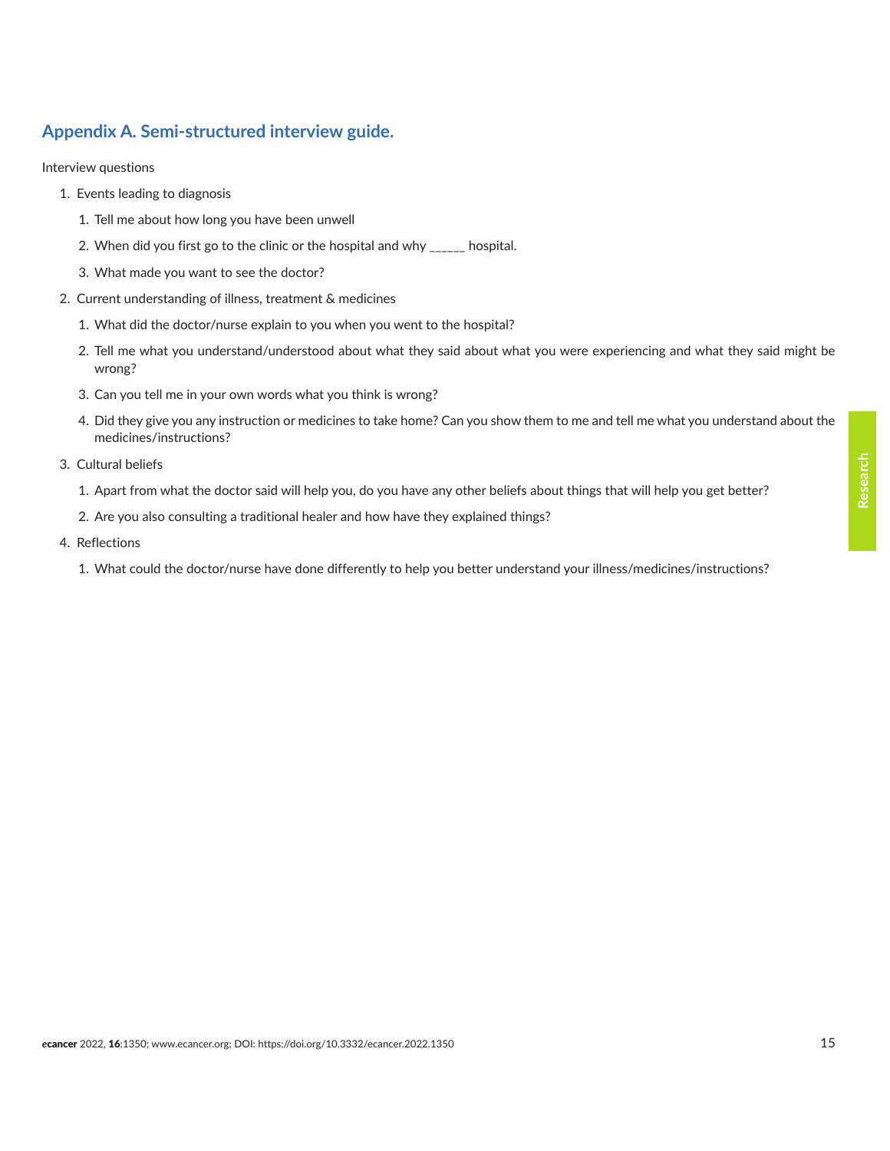### **Appendix A. Semi-structured interview guide.**

Interview questions

- 1. Events leading to diagnosis
	- 1. Tell me about how long you have been unwell
	- 2. When did you first go to the clinic or the hospital and why \_\_\_\_\_\_ hospital.
	- 3. What made you want to see the doctor?
- 2. Current understanding of illness, treatment & medicines
	- 1. What did the doctor/nurse explain to you when you went to the hospital?
	- 2. Tell me what you understand/understood about what they said about what you were experiencing and what they said might be wrong?
	- 3. Can you tell me in your own words what you think is wrong?
	- 4. Did they give you any instruction or medicines to take home? Can you show them to me and tell me what you understand about the medicines/instructions?
- 3. Cultural beliefs
	- 1. Apart from what the doctor said will help you, do you have any other beliefs about things that will help you get better?
	- 2. Are you also consulting a traditional healer and how have they explained things?
- 4. Reflections
	- 1. What could the doctor/nurse have done differently to help you better understand your illness/medicines/instructions?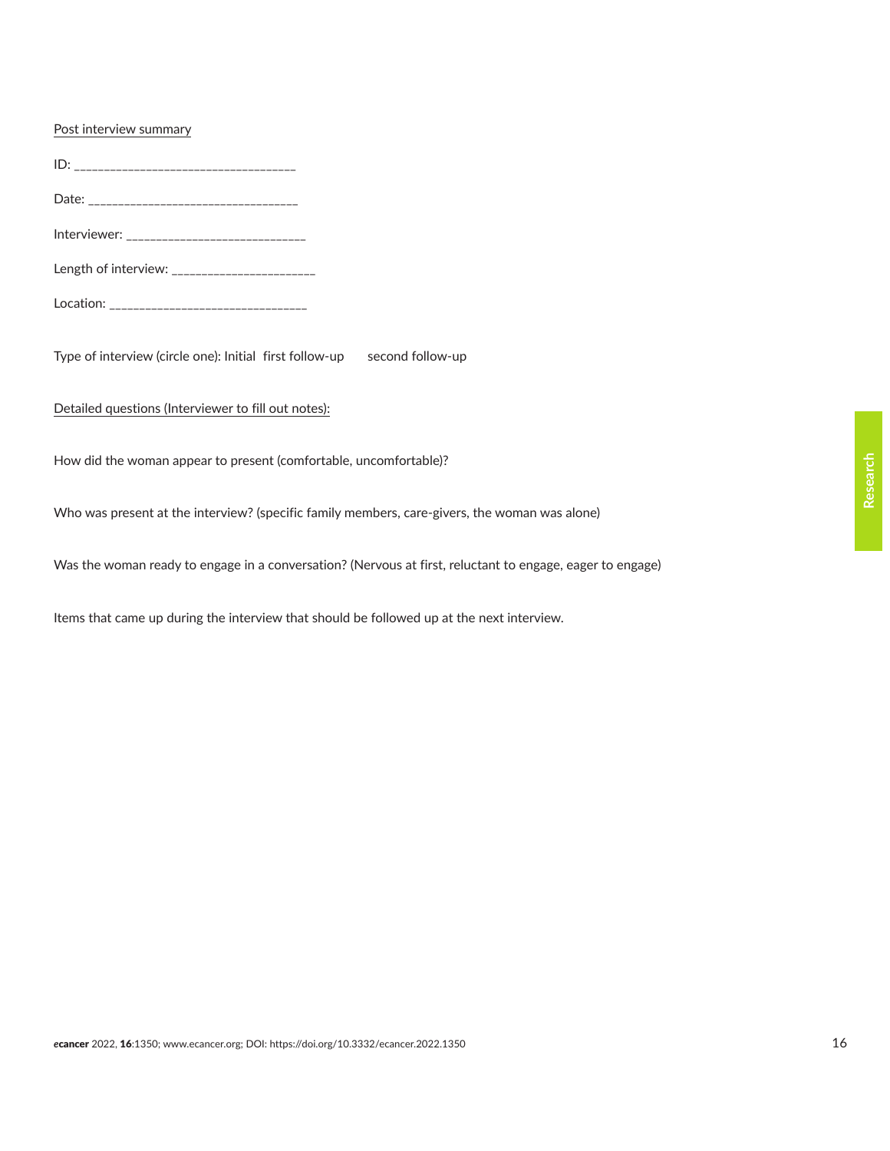### Post interview summary

ID: \_\_\_\_\_\_\_\_\_\_\_\_\_\_\_\_\_\_\_\_\_\_\_\_\_\_\_\_\_\_\_\_\_\_\_\_\_ Date: \_\_\_\_\_\_\_\_\_\_\_\_\_\_\_\_\_\_\_\_\_\_\_\_\_\_\_\_\_\_\_\_\_\_\_ Interviewer: \_\_\_\_\_\_\_\_\_\_\_\_\_\_\_\_\_\_\_\_\_\_\_\_\_\_\_\_\_\_ Length of interview: \_\_\_\_\_\_\_\_\_\_\_\_\_\_\_\_\_\_\_\_\_\_\_\_ Location: \_\_\_\_\_\_\_\_\_\_\_\_\_\_\_\_\_\_\_\_\_\_\_\_\_\_\_\_\_\_\_\_\_ Type of interview (circle one): Initial first follow-up second follow-up Detailed questions (Interviewer to fill out notes): How did the woman appear to present (comfortable, uncomfortable)? Who was present at the interview? (specific family members, care-givers, the woman was alone)

Was the woman ready to engage in a conversation? (Nervous at first, reluctant to engage, eager to engage)

Items that came up during the interview that should be followed up at the next interview.

**Research**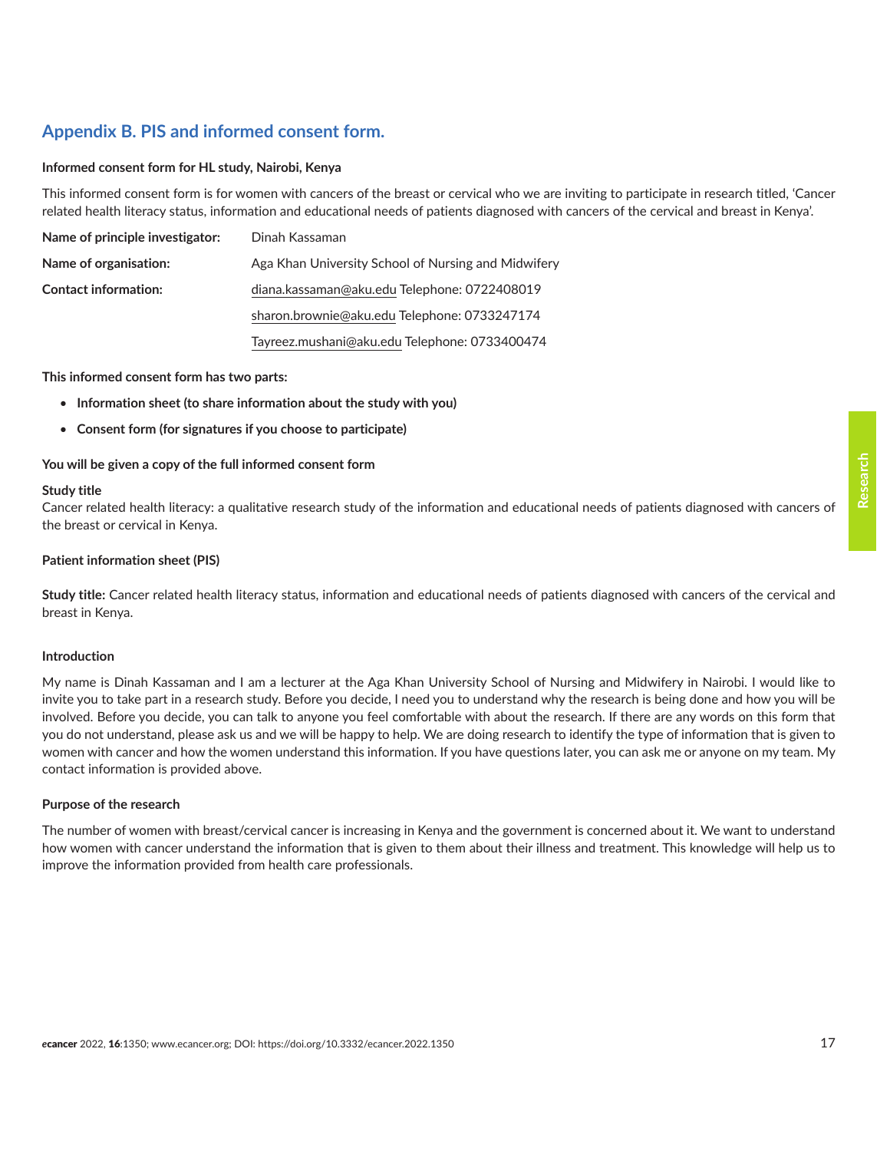### **Appendix B. PIS and informed consent form.**

#### **Informed consent form for HL study, Nairobi, Kenya**

This informed consent form is for women with cancers of the breast or cervical who we are inviting to participate in research titled, 'Cancer related health literacy status, information and educational needs of patients diagnosed with cancers of the cervical and breast in Kenya'.

| Name of principle investigator: | Dinah Kassaman                                      |
|---------------------------------|-----------------------------------------------------|
| Name of organisation:           | Aga Khan University School of Nursing and Midwifery |
| <b>Contact information:</b>     | diana.kassaman@aku.edu Telephone: 0722408019        |
|                                 | sharon.brownie@aku.edu Telephone: 0733247174        |
|                                 | Tayreez.mushani@aku.edu Telephone: 0733400474       |

#### **This informed consent form has two parts:**

- **Information sheet (to share information about the study with you)**
- **Consent form (for signatures if you choose to participate)**

### **You will be given a copy of the full informed consent form**

#### **Study title**

Cancer related health literacy: a qualitative research study of the information and educational needs of patients diagnosed with cancers of the breast or cervical in Kenya.

#### **Patient information sheet (PIS)**

**Study title:** Cancer related health literacy status, information and educational needs of patients diagnosed with cancers of the cervical and breast in Kenya.

#### **Introduction**

My name is Dinah Kassaman and I am a lecturer at the Aga Khan University School of Nursing and Midwifery in Nairobi. I would like to invite you to take part in a research study. Before you decide, I need you to understand why the research is being done and how you will be involved. Before you decide, you can talk to anyone you feel comfortable with about the research. If there are any words on this form that you do not understand, please ask us and we will be happy to help. We are doing research to identify the type of information that is given to women with cancer and how the women understand this information. If you have questions later, you can ask me or anyone on my team. My contact information is provided above.

#### **Purpose of the research**

The number of women with breast/cervical cancer is increasing in Kenya and the government is concerned about it. We want to understand how women with cancer understand the information that is given to them about their illness and treatment. This knowledge will help us to improve the information provided from health care professionals.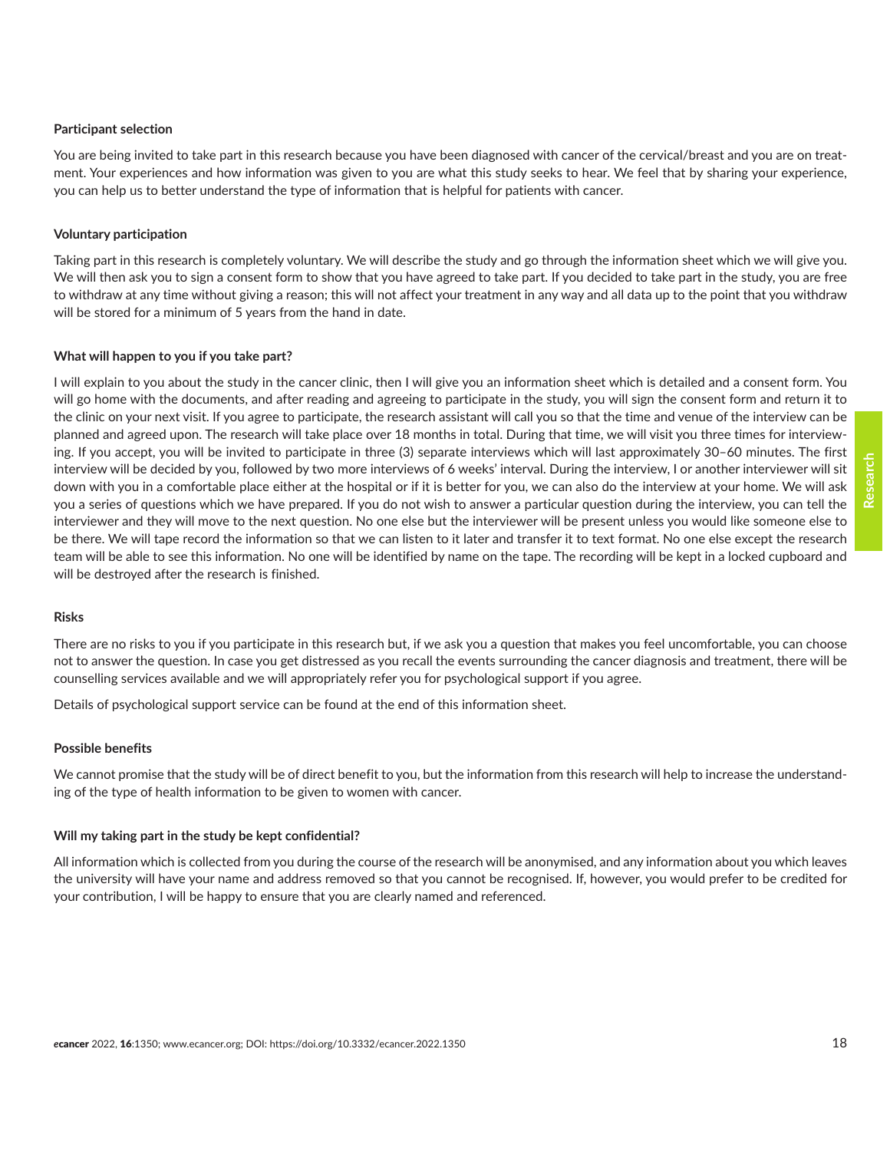### **Participant selection**

You are being invited to take part in this research because you have been diagnosed with cancer of the cervical/breast and you are on treatment. Your experiences and how information was given to you are what this study seeks to hear. We feel that by sharing your experience, you can help us to better understand the type of information that is helpful for patients with cancer.

#### **Voluntary participation**

Taking part in this research is completely voluntary. We will describe the study and go through the information sheet which we will give you. We will then ask you to sign a consent form to show that you have agreed to take part. If you decided to take part in the study, you are free to withdraw at any time without giving a reason; this will not affect your treatment in any way and all data up to the point that you withdraw will be stored for a minimum of 5 years from the hand in date.

### **What will happen to you if you take part?**

I will explain to you about the study in the cancer clinic, then I will give you an information sheet which is detailed and a consent form. You will go home with the documents, and after reading and agreeing to participate in the study, you will sign the consent form and return it to the clinic on your next visit. If you agree to participate, the research assistant will call you so that the time and venue of the interview can be planned and agreed upon. The research will take place over 18 months in total. During that time, we will visit you three times for interviewing. If you accept, you will be invited to participate in three (3) separate interviews which will last approximately 30–60 minutes. The first interview will be decided by you, followed by two more interviews of 6 weeks' interval. During the interview, I or another interviewer will sit down with you in a comfortable place either at the hospital or if it is better for you, we can also do the interview at your home. We will ask you a series of questions which we have prepared. If you do not wish to answer a particular question during the interview, you can tell the interviewer and they will move to the next question. No one else but the interviewer will be present unless you would like someone else to be there. We will tape record the information so that we can listen to it later and transfer it to text format. No one else except the research team will be able to see this information. No one will be identified by name on the tape. The recording will be kept in a locked cupboard and will be destroyed after the research is finished.

#### **Risks**

There are no risks to you if you participate in this research but, if we ask you a question that makes you feel uncomfortable, you can choose not to answer the question. In case you get distressed as you recall the events surrounding the cancer diagnosis and treatment, there will be counselling services available and we will appropriately refer you for psychological support if you agree.

Details of psychological support service can be found at the end of this information sheet.

#### **Possible benefits**

We cannot promise that the study will be of direct benefit to you, but the information from this research will help to increase the understanding of the type of health information to be given to women with cancer.

#### **Will my taking part in the study be kept confidential?**

All information which is collected from you during the course of the research will be anonymised, and any information about you which leaves the university will have your name and address removed so that you cannot be recognised. If, however, you would prefer to be credited for your contribution, I will be happy to ensure that you are clearly named and referenced.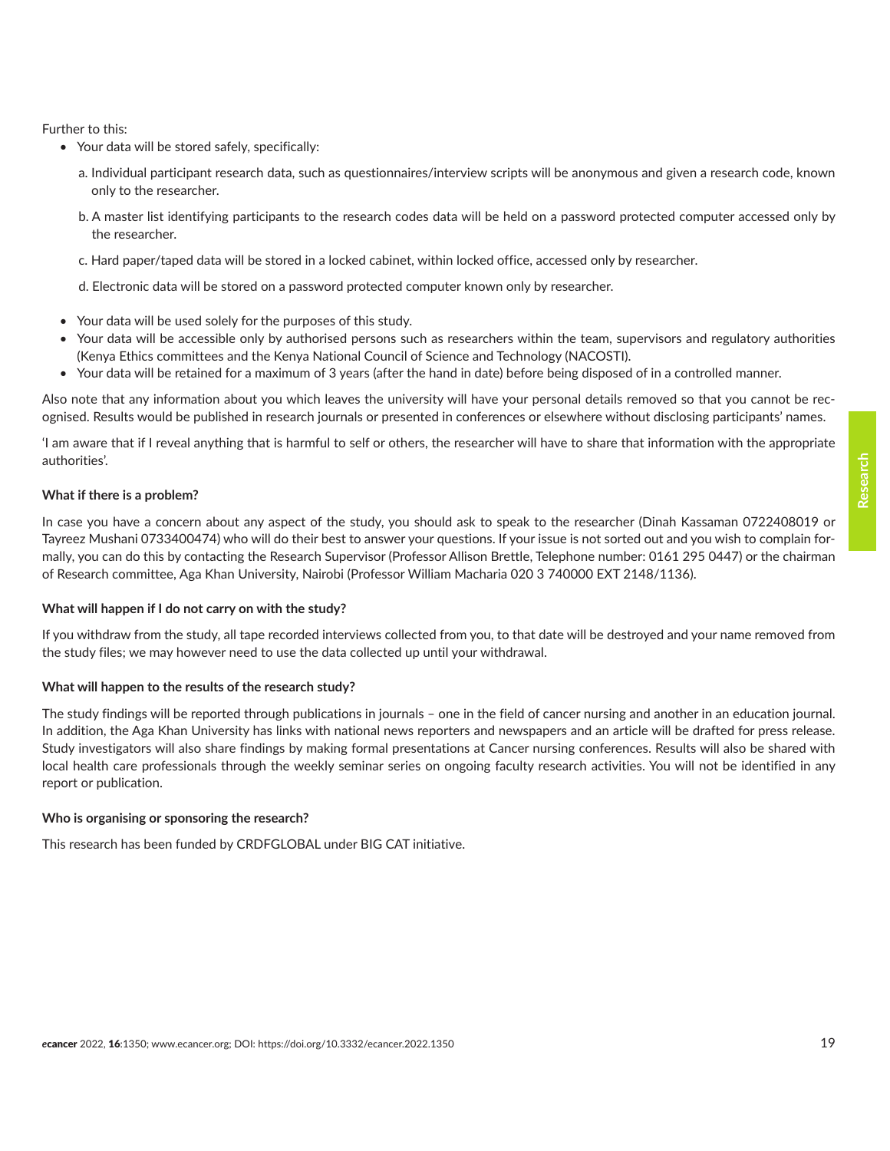Further to this:

- Your data will be stored safely, specifically:
	- a. Individual participant research data, such as questionnaires/interview scripts will be anonymous and given a research code, known only to the researcher.
	- b. A master list identifying participants to the research codes data will be held on a password protected computer accessed only by the researcher.
	- c. Hard paper/taped data will be stored in a locked cabinet, within locked office, accessed only by researcher.
	- d. Electronic data will be stored on a password protected computer known only by researcher.
- Your data will be used solely for the purposes of this study.
- Your data will be accessible only by authorised persons such as researchers within the team, supervisors and regulatory authorities (Kenya Ethics committees and the Kenya National Council of Science and Technology (NACOSTI).
- Your data will be retained for a maximum of 3 years (after the hand in date) before being disposed of in a controlled manner.

Also note that any information about you which leaves the university will have your personal details removed so that you cannot be recognised. Results would be published in research journals or presented in conferences or elsewhere without disclosing participants' names.

'I am aware that if I reveal anything that is harmful to self or others, the researcher will have to share that information with the appropriate authorities'.

#### **What if there is a problem?**

In case you have a concern about any aspect of the study, you should ask to speak to the researcher (Dinah Kassaman 0722408019 or Tayreez Mushani 0733400474) who will do their best to answer your questions. If your issue is not sorted out and you wish to complain formally, you can do this by contacting the Research Supervisor (Professor Allison Brettle, Telephone number: 0161 295 0447) or the chairman of Research committee, Aga Khan University, Nairobi (Professor William Macharia 020 3 740000 EXT 2148/1136).

#### **What will happen if I do not carry on with the study?**

If you withdraw from the study, all tape recorded interviews collected from you, to that date will be destroyed and your name removed from the study files; we may however need to use the data collected up until your withdrawal.

#### **What will happen to the results of the research study?**

The study findings will be reported through publications in journals – one in the field of cancer nursing and another in an education journal. In addition, the Aga Khan University has links with national news reporters and newspapers and an article will be drafted for press release. Study investigators will also share findings by making formal presentations at Cancer nursing conferences. Results will also be shared with local health care professionals through the weekly seminar series on ongoing faculty research activities. You will not be identified in any report or publication.

#### **Who is organising or sponsoring the research?**

This research has been funded by CRDFGLOBAL under BIG CAT initiative.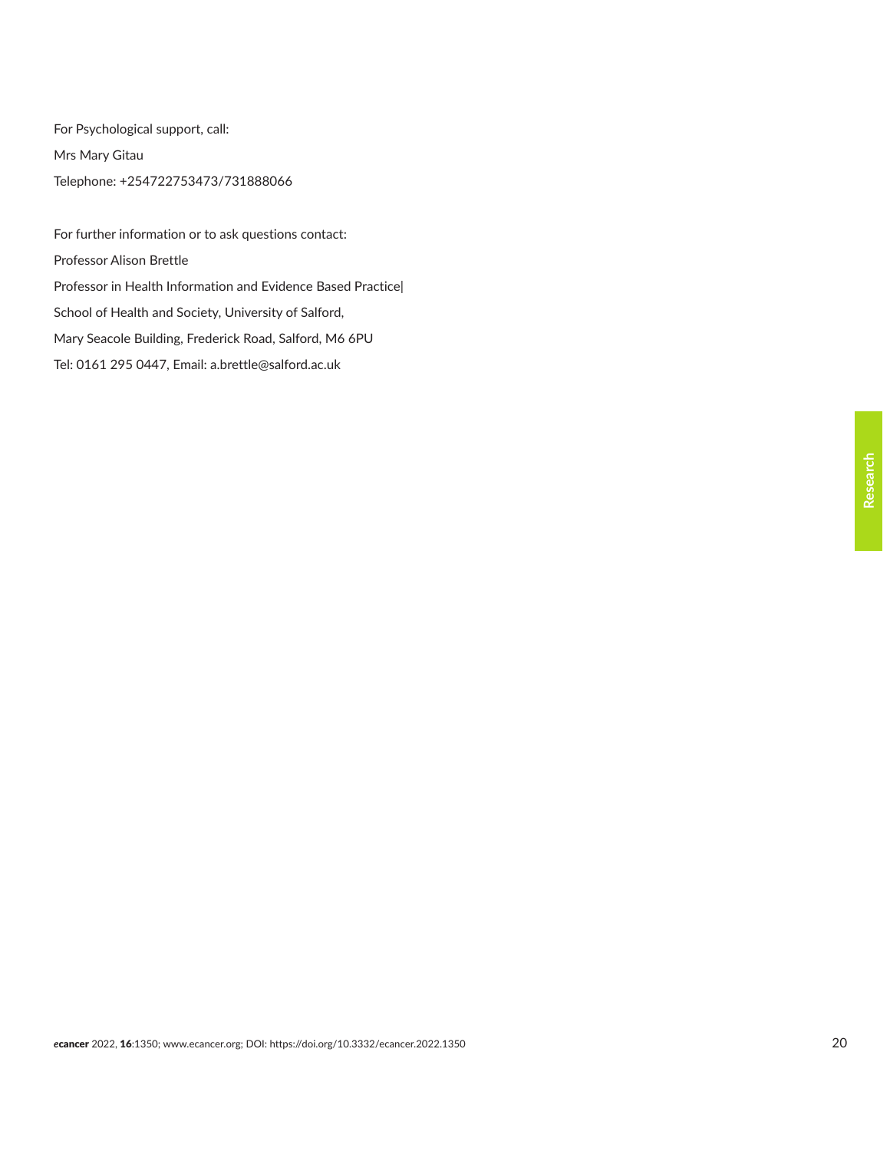For Psychological support, call: Mrs Mary Gitau Telephone: +254722753473/731888066

For further information or to ask questions contact: Professor Alison Brettle Professor in Health Information and Evidence Based Practice| School of Health and Society, University of Salford, Mary Seacole Building, Frederick Road, Salford, M6 6PU Tel: 0161 295 0447, Email: [a.brettle@salford.ac.uk](mailto:a.brettle@salford.ac.uk)